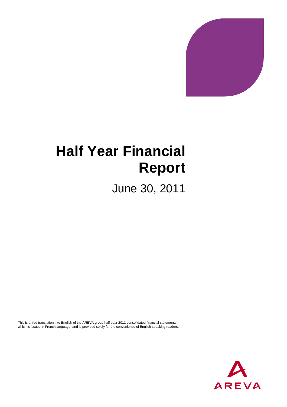

# **Half Year Financial Report**

June 30, 2011

This is a free translation into English of the AREVA group half year 2011 consolidated financial statements which is issued in French language, and is provided solely for the convenience of English speaking readers.

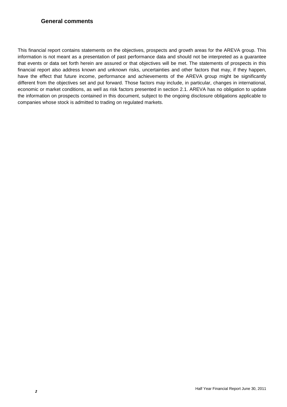# **General comments**

This financial report contains statements on the objectives, prospects and growth areas for the AREVA group. This information is not meant as a presentation of past performance data and should not be interpreted as a guarantee that events or data set forth herein are assured or that objectives will be met. The statements of prospects in this financial report also address known and unknown risks, uncertainties and other factors that may, if they happen, have the effect that future income, performance and achievements of the AREVA group might be significantly different from the objectives set and put forward. Those factors may include, in particular, changes in international, economic or market conditions, as well as risk factors presented in section 2.1. AREVA has no obligation to update the information on prospects contained in this document, subject to the ongoing disclosure obligations applicable to companies whose stock is admitted to trading on regulated markets.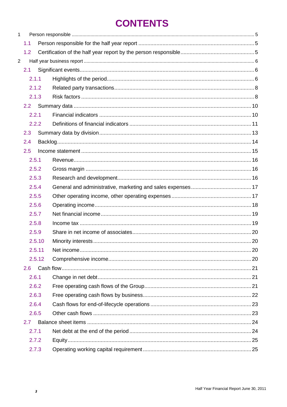# **CONTENTS**

| 1              |  |
|----------------|--|
| 1.1            |  |
| 1.2            |  |
| $\overline{2}$ |  |
| 2.1            |  |
| 2.1.1          |  |
| 2.1.2          |  |
| 2.1.3          |  |
| 2.2            |  |
| 2.2.1          |  |
| 2.2.2          |  |
| 2.3            |  |
| 2.4            |  |
| 2.5            |  |
| 2.5.1          |  |
| 2.5.2          |  |
| 2.5.3          |  |
| 2.5.4          |  |
| 2.5.5          |  |
| 2.5.6          |  |
| 2.5.7          |  |
| 2.5.8          |  |
| 2.5.9          |  |
| 2.5.10         |  |
| 2.5.11         |  |
| 2.5.12         |  |
| 2.6            |  |
| 2.6.1          |  |
| 2.6.2          |  |
| 2.6.3          |  |
| 2.6.4          |  |
| 2.6.5          |  |
| $2.7^{\circ}$  |  |
| 2.7.1          |  |
| 2.7.2          |  |
| 2.7.3          |  |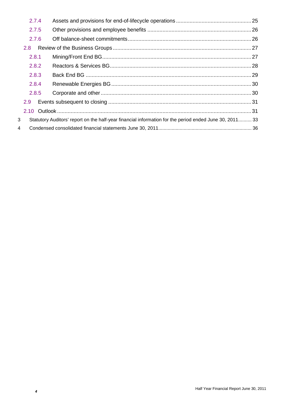|                | 2.7.4 |                                                                                                         |  |
|----------------|-------|---------------------------------------------------------------------------------------------------------|--|
|                | 2.7.5 |                                                                                                         |  |
|                | 2.7.6 |                                                                                                         |  |
|                | 2.8   |                                                                                                         |  |
|                | 2.8.1 |                                                                                                         |  |
|                | 2.8.2 |                                                                                                         |  |
|                | 2.8.3 |                                                                                                         |  |
|                | 2.8.4 |                                                                                                         |  |
|                | 2.8.5 |                                                                                                         |  |
|                | 2.9   |                                                                                                         |  |
|                |       |                                                                                                         |  |
| 3              |       | Statutory Auditors' report on the half-year financial information for the period ended June 30, 2011 33 |  |
| $\overline{4}$ |       |                                                                                                         |  |
|                |       |                                                                                                         |  |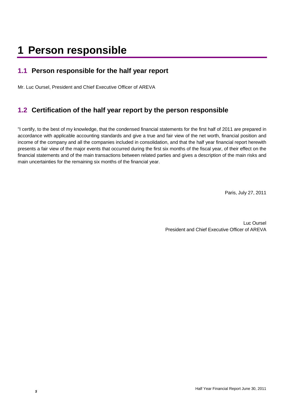# **1 Person responsible**

# **1.1 Person responsible for the half year report**

Mr. Luc Oursel, President and Chief Executive Officer of AREVA

# **1.2 Certification of the half year report by the person responsible**

"I certify, to the best of my knowledge, that the condensed financial statements for the first half of 2011 are prepared in accordance with applicable accounting standards and give a true and fair view of the net worth, financial position and income of the company and all the companies included in consolidation, and that the half year financial report herewith presents a fair view of the major events that occurred during the first six months of the fiscal year, of their effect on the financial statements and of the main transactions between related parties and gives a description of the main risks and main uncertainties for the remaining six months of the financial year.

Paris, July 27, 2011

Luc Oursel President and Chief Executive Officer of AREVA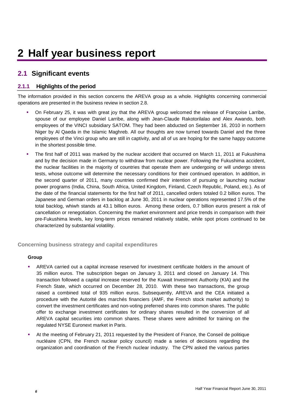# **2 Half year business report**

# **2.1 Significant events**

## **2.1.1 Highlights of the period**

The information provided in this section concerns the AREVA group as a whole. Highlights concerning commercial operations are presented in the business review in section 2.8.

- On February 25, it was with great joy that the AREVA group welcomed the release of Françoise Larribe, spouse of our employee Daniel Larribe, along with Jean-Claude Rakotorilalao and Alex Awando, both employees of the VINCI subsidiary SATOM. They had been abducted on September 16, 2010 in northern Niger by Al Qaeda in the Islamic Maghreb. All our thoughts are now turned towards Daniel and the three employees of the Vinci group who are still in captivity, and all of us are hoping for the same happy outcome in the shortest possible time.
- The first half of 2011 was marked by the nuclear accident that occurred on March 11, 2011 at Fukushima and by the decision made in Germany to withdraw from nuclear power. Following the Fukushima accident, the nuclear facilities in the majority of countries that operate them are undergoing or will undergo stress tests, whose outcome will determine the necessary conditions for their continued operation. In addition, in the second quarter of 2011, many countries confirmed their intention of pursuing or launching nuclear power programs (India, China, South Africa, United Kingdom, Finland, Czech Republic, Poland, etc.). As of the date of the financial statements for the first half of 2011, cancelled orders totaled 0.2 billion euros. The Japanese and German orders in backlog at June 30, 2011 in nuclear operations represented 17.5% of the total backlog, whiwh stands at 43.1 billion euros. Among these orders, 0.7 billion euros present a risk of cancellation or renegotiation. Concerning the market environment and price trends in comparison with their pre-Fukushima levels, key long-term prices remained relatively stable, while spot prices continued to be characterized by substantial volatility.

**Concerning business strategy and capital expenditures** 

### **Group**

- AREVA carried out a capital increase reserved for investment certificate holders in the amount of 35 million euros. The subscription began on January 3, 2011 and closed on January 14. This transaction followed a capital increase reserved for the Kuwait Investment Authority (KIA) and the French State, which occurred on December 28, 2010. With these two transactions, the group raised a combined total of 935 million euros. Subsequently, AREVA and the CEA initiated a procedure with the Autorité des marchés financiers (AMF, the French stock market authority) to convert the investment certificates and non-voting preferred shares into common shares. The public offer to exchange investment certificates for ordinary shares resulted in the conversion of all AREVA capital securities into common shares. These shares were admitted for training on the regulated NYSE Euronext market in Paris.
- At the meeting of February 21, 2011 requested by the President of France, the Conseil de politique nucléaire (CPN, the French nuclear policy council) made a series of decisions regarding the organization and coordination of the French nuclear industry. The CPN asked the various parties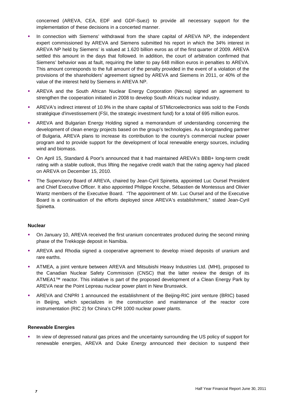concerned (AREVA, CEA, EDF and GDF-Suez) to provide all necessary support for the implementation of these decisions in a concerted manner.

- In connection with Siemens' withdrawal from the share capital of AREVA NP, the independent expert commissioned by AREVA and Siemens submitted his report in which the 34% interest in AREVA NP held by Siemens' is valued at 1.620 billion euros as of the first quarter of 2009. AREVA settled this amount in the days that followed. In addition, the court of arbitration confirmed that Siemens' behavior was at fault, requiring the latter to pay 648 million euros in penalties to AREVA. This amount corresponds to the full amount of the penalty provided in the event of a violation of the provisions of the shareholders' agreement signed by AREVA and Siemens in 2011, or 40% of the value of the interest held by Siemens in AREVA NP.
- AREVA and the South African Nuclear Energy Corporation (Necsa) signed an agreement to strengthen the cooperation initiated in 2008 to develop South Africa's nuclear industry.
- AREVA's indirect interest of 10.9% in the share capital of STMicroelectronics was sold to the Fonds stratégique d'investissement (FSI, the strategic investment fund) for a total of 695 million euros.
- AREVA and Bulgarian Energy Holding signed a memorandum of understanding concerning the development of clean energy projects based on the group's technologies. As a longstanding partner of Bulgaria, AREVA plans to increase its contribution to the country's commercial nuclear power program and to provide support for the development of local renewable energy sources, including wind and biomass.
- On April 15, Standard & Poor's announced that it had maintained AREVA's BBB+ long-term credit rating with a stable outlook, thus lifting the negative credit watch that the rating agency had placed on AREVA on December 15, 2010.
- The Supervisory Board of AREVA, chaired by Jean-Cyril Spinetta, appointed Luc Oursel President and Chief Executive Officer. It also appointed Philippe Knoche, Sébastien de Montessus and Olivier Wantz members of the Executive Board. "The appointment of Mr. Luc Oursel and of the Executive Board is a continuation of the efforts deployed since AREVA's establishment," stated Jean-Cyril Spinetta.

### **Nuclear**

- On January 10, AREVA received the first uranium concentrates produced during the second mining phase of the Trekkopje deposit in Namibia.
- AREVA and Rhodia signed a cooperative agreement to develop mixed deposits of uranium and rare earths.
- ATMEA, a joint venture between AREVA and Mitsubishi Heavy Industries Ltd. (MHI), proposed to the Canadian Nuclear Safety Commission (CNSC) that the latter review the design of its ATMEA1™ reactor. This initiative is part of the proposed development of a Clean Energy Park by AREVA near the Point Lepreau nuclear power plant in New Brunswick.
- AREVA and CNPRI 1 announced the establishment of the Beijing-RIC joint venture (BRIC) based in Beijing, which specializes in the construction and maintenance of the reactor core instrumentation (RIC 2) for China's CPR 1000 nuclear power plants.

### **Renewable Energies**

In view of depressed natural gas prices and the uncertainty surrounding the US policy of support for renewable energies, AREVA and Duke Energy announced their decision to suspend their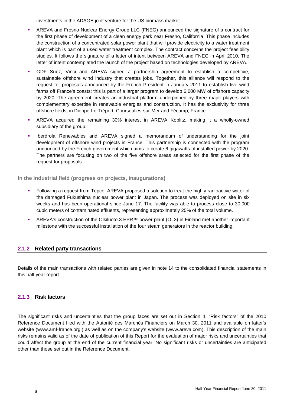investments in the ADAGE joint venture for the US biomass market.

- AREVA and Fresno Nuclear Energy Group LLC (FNEG) announced the signature of a contract for the first phase of development of a clean energy park near Fresno, California. This phase includes the construction of a concentrated solar power plant that will provide electricity to a water treatment plant which is part of a used water treatment complex. The contract concerns the project feasibility studies. It follows the signature of a letter of intent between AREVA and FNEG in April 2010. The letter of intent contemplated the launch of the project based on technologies developed by AREVA.
- GDF Suez, Vinci and AREVA signed a partnership agreement to establish a competitive, sustainable offshore wind industry that creates jobs. Together, this alliance will respond to the request for proposals announced by the French President in January 2011 to establish five wind farms off France's coasts; this is part of a larger program to develop 6,000 MW of offshore capacity by 2020. The agreement creates an industrial platform underpinned by three major players with complementary expertise in renewable energies and construction. It has the exclusivity for three offshore fields, in Dieppe-Le Tréport, Courseulles-sur-Mer and Fécamp, France.
- AREVA acquired the remaining 30% interest in AREVA Koblitz, making it a wholly-owned subsidiary of the group.
- Iberdrola Renewables and AREVA signed a memorandum of understanding for the joint development of offshore wind projects in France. This partnership is connected with the program announced by the French government which aims to create 6 gigawatts of installed power by 2020. The partners are focusing on two of the five offshore areas selected for the first phase of the request for proposals.

**In the industrial field (progress on projects, inaugurations)** 

- Following a request from Tepco, AREVA proposed a solution to treat the highly radioactive water of the damaged Fukushima nuclear power plant in Japan. The process was deployed on site in six weeks and has been operational since June 17. The facility was able to process close to 30,000 cubic meters of contaminated effluents, representing approximately 25% of the total volume.
- AREVA's construction of the Olkiluoto 3 EPR<sup>™</sup> power plant (OL3) in Finland met another important milestone with the successful installation of the four steam generators in the reactor building.

### **2.1.2 Related party transactions**

Details of the main transactions with related parties are given in note 14 to the consolidated financial statements in this half year report.

### **2.1.3 Risk factors**

The significant risks and uncertainties that the group faces are set out in Section 4, "Risk factors" of the 2010 Reference Document filed with the Autorité des Marchés Financiers on March 30, 2011 and available on latter's website (www.amf-france.org.) as well as on the company's website (www.areva.com). This description of the main risks remains valid as of the date of publication of this Report for the evaluation of major risks and uncertainties that could affect the group at the end of the current financial year. No significant risks or uncertainties are anticipated other than those set out in the Reference Document.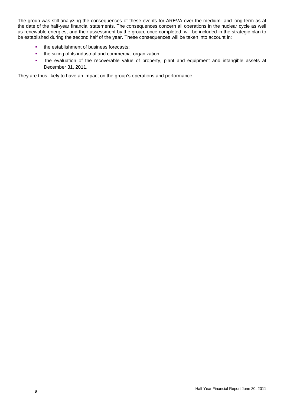The group was still analyzing the consequences of these events for AREVA over the medium- and long-term as at the date of the half-year financial statements. The consequences concern all operations in the nuclear cycle as well as renewable energies, and their assessment by the group, once completed, will be included in the strategic plan to be established during the second half of the year. These consequences will be taken into account in:

- **the establishment of business forecasts;**
- **the sizing of its industrial and commercial organization;**
- the evaluation of the recoverable value of property, plant and equipment and intangible assets at December 31, 2011.

They are thus likely to have an impact on the group's operations and performance.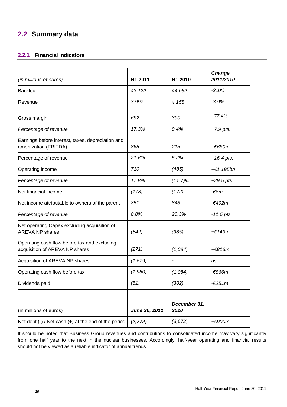# **2.2 Summary data**

# **2.2.1 Financial indicators**

| (in millions of euros)                                                         | H1 2011       | H1 2010              | <b>Change</b><br>2011/2010 |
|--------------------------------------------------------------------------------|---------------|----------------------|----------------------------|
| <b>Backlog</b>                                                                 | 43, 122       | 44,062               | $-2.1%$                    |
| Revenue                                                                        | 3,997         | 4,158                | $-3.9%$                    |
| Gross margin                                                                   | 692           | 390                  | $+77.4%$                   |
| Percentage of revenue                                                          | 17.3%         | 9.4%                 | $+7.9$ pts.                |
| Earnings before interest, taxes, depreciation and<br>amortization (EBITDA)     | 865           | 215                  | $+6650m$                   |
| Percentage of revenue                                                          | 21.6%         | 5.2%                 | $+16.4$ pts.               |
| Operating income                                                               | 710           | (485)                | +€ 1.195bn                 |
| Percentage of revenue                                                          | 17.8%         | $(11.7)\%$           | $+29.5$ pts.               |
| Net financial income                                                           | (178)         | (172)                | $-66m$                     |
| Net income attributable to owners of the parent                                | 351           | 843                  | -€492m                     |
| Percentage of revenue                                                          | 8.8%          | 20.3%                | $-11.5$ pts.               |
| Net operating Capex excluding acquisition of<br><b>AREVA NP shares</b>         | (842)         | (985)                | $+$ $€ 143m$               |
| Operating cash flow before tax and excluding<br>acquisition of AREVA NP shares | (271)         | (1,084)              | $+€813m$                   |
| Acquisition of AREVA NP shares                                                 | (1,679)       |                      | ns                         |
| Operating cash flow before tax                                                 | (1,950)       | (1,084)              | $-€866m$                   |
| Dividends paid                                                                 | (51)          | (302)                | $-6251m$                   |
|                                                                                |               |                      |                            |
| (in millions of euros)                                                         | June 30, 2011 | December 31,<br>2010 |                            |
| Net debt $(-)$ / Net cash $(+)$ at the end of the period                       | (2, 772)      | (3,672)              | $+€900m$                   |

It should be noted that Business Group revenues and contributions to consolidated income may vary significantly from one half year to the next in the nuclear businesses. Accordingly, half-year operating and financial results should not be viewed as a reliable indicator of annual trends.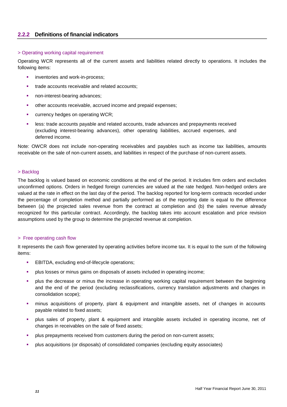### > Operating working capital requirement

Operating WCR represents all of the current assets and liabilities related directly to operations. It includes the following items:

- inventories and work-in-process;
- **trade accounts receivable and related accounts;**
- **non-interest-bearing advances;**
- other accounts receivable, accrued income and prepaid expenses;
- **Currency hedges on operating WCR;**
- less: trade accounts payable and related accounts, trade advances and prepayments received (excluding interest-bearing advances), other operating liabilities, accrued expenses, and deferred income.

Note: OWCR does not include non-operating receivables and payables such as income tax liabilities, amounts receivable on the sale of non-current assets, and liabilities in respect of the purchase of non-current assets.

### > Backlog

The backlog is valued based on economic conditions at the end of the period. It includes firm orders and excludes unconfirmed options. Orders in hedged foreign currencies are valued at the rate hedged. Non-hedged orders are valued at the rate in effect on the last day of the period. The backlog reported for long-term contracts recorded under the percentage of completion method and partially performed as of the reporting date is equal to the difference between (a) the projected sales revenue from the contract at completion and (b) the sales revenue already recognized for this particular contract. Accordingly, the backlog takes into account escalation and price revision assumptions used by the group to determine the projected revenue at completion.

### > Free operating cash flow

It represents the cash flow generated by operating activities before income tax. It is equal to the sum of the following items:

- EBITDA, excluding end-of-lifecycle operations;
- plus losses or minus gains on disposals of assets included in operating income;
- plus the decrease or minus the increase in operating working capital requirement between the beginning and the end of the period (excluding reclassifications, currency translation adjustments and changes in consolidation scope);
- minus acquisitions of property, plant & equipment and intangible assets, net of changes in accounts payable related to fixed assets;
- plus sales of property, plant & equipment and intangible assets included in operating income, net of changes in receivables on the sale of fixed assets;
- plus prepayments received from customers during the period on non-current assets;
- plus acquisitions (or disposals) of consolidated companies (excluding equity associates)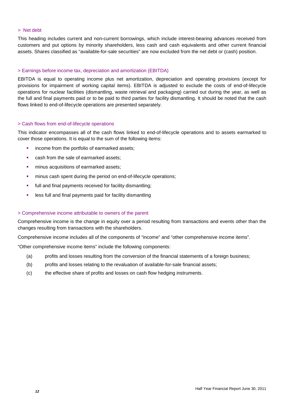### > Net debt

This heading includes current and non-current borrowings, which include interest-bearing advances received from customers and put options by minority shareholders, less cash and cash equivalents and other current financial assets. Shares classified as "available-for-sale securities" are now excluded from the net debt or (cash) position.

### > Earnings before income tax, depreciation and amortization (EBITDA)

EBITDA is equal to operating income plus net amortization, depreciation and operating provisions (except for provisions for impairment of working capital items). EBITDA is adjusted to exclude the costs of end-of-lifecycle operations for nuclear facilities (dismantling, waste retrieval and packaging) carried out during the year, as well as the full and final payments paid or to be paid to third parties for facility dismantling. It should be noted that the cash flows linked to end-of-lifecycle operations are presented separately.

### > Cash flows from end-of-lifecycle operations

This indicator encompasses all of the cash flows linked to end-of-lifecycle operations and to assets earmarked to cover those operations. It is equal to the sum of the following items:

- income from the portfolio of earmarked assets;
- **Cash from the sale of earmarked assets:**
- **numinus acquisitions of earmarked assets:**
- **numinus cash spent during the period on end-of-lifecycle operations;**
- **full and final payments received for facility dismantling;**
- **EXECT:** less full and final payments paid for facility dismantling

### > Comprehensive income attributable to owners of the parent

Comprehensive income is the change in equity over a period resulting from transactions and events other than the changes resulting from transactions with the shareholders.

Comprehensive income includes all of the components of "income" and "other comprehensive income items".

"Other comprehensive income items" include the following components:

- (a) profits and losses resulting from the conversion of the financial statements of a foreign business;
- (b) profits and losses relating to the revaluation of available-for-sale financial assets;
- (c) the effective share of profits and losses on cash flow hedging instruments.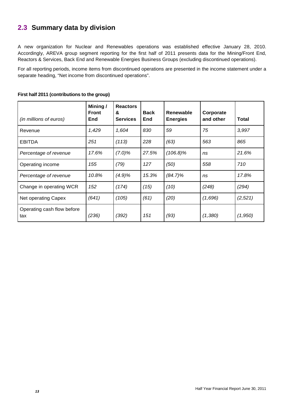# **2.3 Summary data by division**

A new organization for Nuclear and Renewables operations was established effective January 28, 2010. Accordingly, AREVA group segment reporting for the first half of 2011 presents data for the Mining/Front End, Reactors & Services, Back End and Renewable Energies Business Groups (excluding discontinued operations).

For all reporting periods, income items from discontinued operations are presented in the income statement under a separate heading, "Net income from discontinued operations".

| (in millions of euros)            | Mining/<br><b>Front</b><br>End | <b>Reactors</b><br>&<br><b>Services</b> | <b>Back</b><br><b>End</b> | Renewable<br><b>Energies</b> | Corporate<br>and other | <b>Total</b> |
|-----------------------------------|--------------------------------|-----------------------------------------|---------------------------|------------------------------|------------------------|--------------|
| Revenue                           | 1,429                          | 1,604                                   | 830                       | 59                           | 75                     | 3,997        |
| <b>EBITDA</b>                     | 251                            | (113)                                   | 228                       | (63)                         | 563                    | 865          |
| Percentage of revenue             | 17.6%                          | $(7.0)\%$                               | 27.5%                     | $(106.8)\%$                  | ns                     | 21.6%        |
| Operating income                  | 155                            | (79)                                    | 127                       | (50)                         | 558                    | 710          |
| Percentage of revenue             | 10.8%                          | (4.9)%                                  | 15.3%                     | $(84.7)\%$                   | ns                     | 17.8%        |
| Change in operating WCR           | 152                            | (174)                                   | (15)                      | (10)                         | (248)                  | (294)        |
| Net operating Capex               | (641)                          | (105)                                   | (61)                      | (20)                         | (1,696)                | (2,521)      |
| Operating cash flow before<br>tax | (236)                          | (392)                                   | 151                       | (93)                         | (1,380)                | (1,950)      |

### **First half 2011 (contributions to the group)**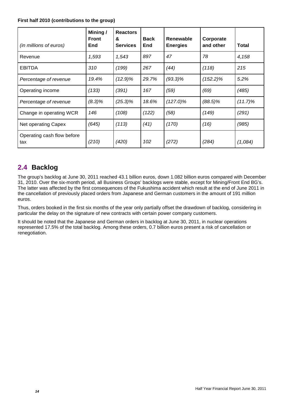### **First half 2010 (contributions to the group)**

| (in millions of euros)            | Mining/<br><b>Front</b><br>End | <b>Reactors</b><br>&<br><b>Services</b> | <b>Back</b><br><b>End</b> | Renewable<br><b>Energies</b> | Corporate<br>and other | Total      |
|-----------------------------------|--------------------------------|-----------------------------------------|---------------------------|------------------------------|------------------------|------------|
| Revenue                           | 1,593                          | 1,543                                   | 897                       | 47                           | 78                     | 4,158      |
| <b>EBITDA</b>                     | 310                            | (199)                                   | 267                       | (44)                         | (118)                  | 215        |
| Percentage of revenue             | 19.4%                          | $(12.9)\%$                              | 29.7%                     | $(93.3)\%$                   | $(152.2)\%$            | 5.2%       |
| Operating income                  | (133)                          | (391)                                   | 167                       | (59)                         | (69)                   | (485)      |
| Percentage of revenue             | $(8.3)\%$                      | $(25.3)\%$                              | 18.6%                     | $(127.0)\%$                  | $(88.5)\%$             | $(11.7)\%$ |
| Change in operating WCR           | 146                            | (108)                                   | (122)                     | (58)                         | (149)                  | (291)      |
| Net operating Capex               | (645)                          | (113)                                   | (41)                      | (170)                        | (16)                   | (985)      |
| Operating cash flow before<br>tax | (210)                          | (420)                                   | 102                       | (272)                        | (284)                  | (1,084)    |

# **2.4 Backlog**

The group's backlog at June 30, 2011 reached 43.1 billion euros, down 1.082 billion euros compared with December 31, 2010. Over the six-month period, all Business Groups' backlogs were stable, except for Mining/Front End BG's. The latter was affected by the first consequences of the Fukushima accident which result at the end of June 2011 in the cancellation of previously placed orders from Japanese and German customers in the amount of 191 million euros.

Thus, orders booked in the first six months of the year only partially offset the drawdown of backlog, considering in particular the delay on the signature of new contracts with certain power company customers.

It should be noted that the Japanese and German orders in backlog at June 30, 2011, in nuclear operations represented 17.5% of the total backlog. Among these orders, 0.7 billion euros present a risk of cancellation or renegotiation.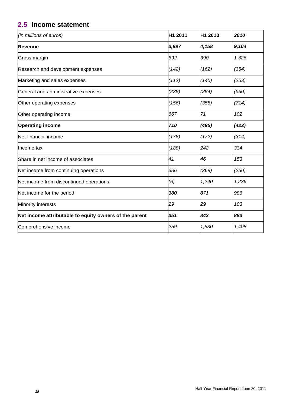# **2.5 Income statement**

| (in millions of euros)                                 | H1 2011 | H <sub>1</sub> 2010 | 2010    |
|--------------------------------------------------------|---------|---------------------|---------|
| <b>Revenue</b>                                         | 3,997   | 4,158               | 9,104   |
| Gross margin                                           | 692     | 390                 | 1 3 2 6 |
| Research and development expenses                      | (142)   | (162)               | (354)   |
| Marketing and sales expenses                           | (112)   | (145)               | (253)   |
| General and administrative expenses                    | (238)   | (284)               | (530)   |
| Other operating expenses                               | (156)   | (355)               | (714)   |
| Other operating income                                 | 667     | 71                  | 102     |
| <b>Operating income</b>                                | 710     | (485)               | (423)   |
| Net financial income                                   | (178)   | (172)               | (314)   |
| Income tax                                             | (188)   | 242                 | 334     |
| Share in net income of associates                      | 41      | 46                  | 153     |
| Net income from continuing operations                  | 386     | (369)               | (250)   |
| Net income from discontinued operations                | (6)     | 1,240               | 1,236   |
| Net income for the period                              | 380     | 871                 | 986     |
| Minority interests                                     | 29      | 29                  | 103     |
| Net income attributable to equity owners of the parent | 351     | 843                 | 883     |
| Comprehensive income                                   | 259     | 1,530               | 1,408   |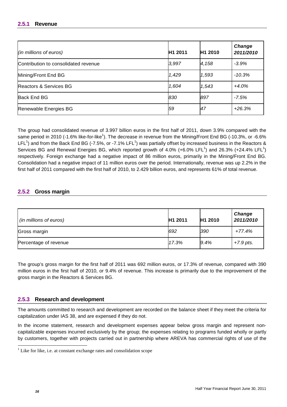| (in millions of euros)               | H1 2011 | H <sub>1</sub> 2010 | <b>Change</b><br>2011/2010 |
|--------------------------------------|---------|---------------------|----------------------------|
| Contribution to consolidated revenue | 3,997   | 4,158               | $-3.9%$                    |
| Mining/Front End BG                  | 1,429   | 1,593               | $-10.3%$                   |
| Reactors & Services BG               | 1,604   | 1,543               | $+4.0%$                    |
| <b>Back End BG</b>                   | 830     | 897                 | $-7.5%$                    |
| Renewable Energies BG                | 59      | 147                 | $+26.3%$                   |

The group had consolidated revenue of 3.997 billion euros in the first half of 2011, down 3.9% compared with the same period in 2010 (-1.6% like-for-like<sup>1</sup>). The decrease in revenue from the Mining/Front End BG (-10.3%, or -6.6% LFL<sup>1</sup>) and from the Back End BG (-7.5%, or -7.1% LFL<sup>1</sup>) was partially offset by increased business in the Reactors & Services BG and Renewal Energies BG, which reported growth of 4.0% (+6.0% LFL<sup>1</sup>) and 26.3% (+24.4% LFL<sup>1</sup>) respectively. Foreign exchange had a negative impact of 86 million euros, primarily in the Mining/Front End BG. Consolidation had a negative impact of 11 million euros over the period. Internationally, revenue was up 2.2% in the first half of 2011 compared with the first half of 2010, to 2.429 billion euros, and represents 61% of total revenue.

## **2.5.2 Gross margin**

| (in millions of euros) | H <sub>1</sub> 2011 | H <sub>1</sub> 2010 | <b>Change</b><br>2011/2010 |
|------------------------|---------------------|---------------------|----------------------------|
| Gross margin           | 692                 | 390                 | $+77.4%$                   |
| Percentage of revenue  | 17.3%               | 9.4%                | $+7.9$ pts.                |

The group's gross margin for the first half of 2011 was 692 million euros, or 17.3% of revenue, compared with 390 million euros in the first half of 2010, or 9.4% of revenue. This increase is primarily due to the improvement of the gross margin in the Reactors & Services BG.

### **2.5.3 Research and development**

The amounts committed to research and development are recorded on the balance sheet if they meet the criteria for capitalization under IAS 38, and are expensed if they do not.

In the income statement, research and development expenses appear below gross margin and represent noncapitalizable expenses incurred exclusively by the group; the expenses relating to programs funded wholly or partly by customers, together with projects carried out in partnership where AREVA has commercial rights of use of the

 $\overline{a}$ 

<sup>&</sup>lt;sup>1</sup> Like for like, i.e. at constant exchange rates and consolidation scope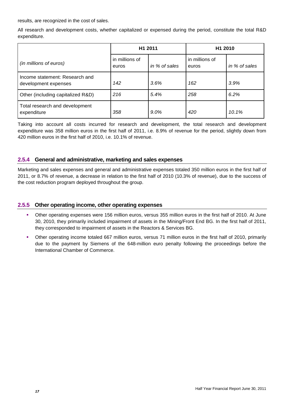results, are recognized in the cost of sales.

All research and development costs, whether capitalized or expensed during the period, constitute the total R&D expenditure.

|                                                        | H1 2011                 |               | H1 2010                 |               |  |
|--------------------------------------------------------|-------------------------|---------------|-------------------------|---------------|--|
| (in millions of euros)                                 | in millions of<br>euros | in % of sales | in millions of<br>euros | in % of sales |  |
| Income statement: Research and<br>development expenses | 142                     | 3.6%          | 162                     | 3.9%          |  |
| Other (including capitalized R&D)                      | 216                     | 5.4%          | 258                     | 6.2%          |  |
| Total research and development<br>expenditure          | 358                     | 9.0%          | 420                     | 10.1%         |  |

Taking into account all costs incurred for research and development, the total research and development expenditure was 358 million euros in the first half of 2011, i.e. 8.9% of revenue for the period, slightly down from 420 million euros in the first half of 2010, i.e. 10.1% of revenue.

### **2.5.4 General and administrative, marketing and sales expenses**

Marketing and sales expenses and general and administrative expenses totaled 350 million euros in the first half of 2011, or 8.7% of revenue, a decrease in relation to the first half of 2010 (10.3% of revenue), due to the success of the cost reduction program deployed throughout the group.

## **2.5.5 Other operating income, other operating expenses**

- Other operating expenses were 156 million euros, versus 355 million euros in the first half of 2010. At June 30, 2010, they primarily included impairment of assets in the Mining/Front End BG. In the first half of 2011, they corresponded to impairment of assets in the Reactors & Services BG.
- Other operating income totaled 667 million euros, versus 71 million euros in the first half of 2010, primarily due to the payment by Siemens of the 648-million euro penalty following the proceedings before the International Chamber of Commerce.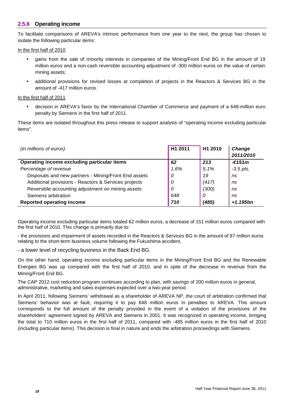## **2.5.6 Operating income**

To facilitate comparisons of AREVA's intrinsic performance from one year to the next, the group has chosen to isolate the following particular items:

In the first half of 2010

- gains from the sale of minority interests in companies of the Mining/Front End BG in the amount of 19 million euros and a non-cash reversible accounting adjustment of -300 million euros on the value of certain mining assets;
- additional provisions for revised losses at completion of projects in the Reactors & Services BG in the amount of -417 million euros.

### In the first half of 2011

 decision in AREVA's favor by the International Chamber of Commerce and payment of a 648-million euro penalty by Siemens in the first half of 2011.

These items are isolated throughout this press release to support analysis of "operating income excluding particular items".

| (in millions of euros)                               | H1 2011 | H <sub>1</sub> 2010 | <b>Change</b><br>2011/2010 |
|------------------------------------------------------|---------|---------------------|----------------------------|
| Operating income excluding particular items          | 62      | 213                 | $-£151m$                   |
| Percentage of revenue                                | 1.6%    | 5.1%                | $-3.5$ pts.                |
| Disposals and new partners - Mining/Front End assets | 0       | 19                  | ns                         |
| Additional provisions - Reactors & Services projects | 0       | (417)               | ns                         |
| Reversible accounting adjustment on mining assets    | 0       | (300)               | ns                         |
| Siemens arbitration                                  | 648     | 0                   | ns                         |
| <b>Reported operating income</b>                     | 710     | (485)               | +1.195bn                   |

Operating income excluding particular items totaled 62 million euros, a decrease of 151 million euros compared with the first half of 2010. This change is primarily due to:

- the provisions and impairment of assets recorded in the Reactors & Services BG in the amount of 87 million euros relating to the short-term business volume following the Fukushima accident,

- a lower level of recycling business in the Back End BG.

On the other hand, operating income excluding particular items in the Mining/Front End BG and the Renewable Energies BG was up compared with the first half of 2010, and in spite of the decrease in revenue from the Mining/Front End BG.

The CAP 2012 cost reduction program continues according to plan, with savings of 200 million euros in general, administrative, marketing and sales expenses expected over a two-year period.

In April 2011, following Siemens' withdrawal as a shareholder of AREVA NP, the court of arbitration confirmed that Siemens' behavior was at fault, requiring it to pay 648 million euros in penalties to AREVA. This amount corresponds to the full amount of the penalty provided in the event of a violation of the provisions of the shareholders' agreement signed by AREVA and Siemens in 2001. It was recognized in operating income, bringing the total to 710 million euros in the first half of 2011, compared with -485 million euros in the first half of 2010 (including particular items). This decision is final in nature and ends the arbitration proceedings with Siemens.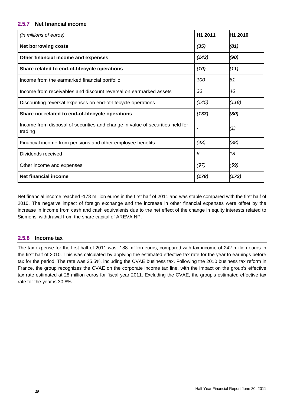## **2.5.7 Net financial income**

| (in millions of euros)                                                                   | H1 2011 | H <sub>1</sub> 2010 |
|------------------------------------------------------------------------------------------|---------|---------------------|
| <b>Net borrowing costs</b>                                                               | (35)    | (81)                |
| Other financial income and expenses                                                      | (143)   | (90)                |
| Share related to end-of-lifecycle operations                                             | (10)    | (11)                |
| Income from the earmarked financial portfolio                                            | 100     | 61                  |
| Income from receivables and discount reversal on earmarked assets                        | 36      | 46                  |
| Discounting reversal expenses on end-of-lifecycle operations                             | (145)   | (118)               |
| Share not related to end-of-lifecycle operations                                         |         | (80)                |
| Income from disposal of securities and change in value of securities held for<br>trading | ۰       | (1)                 |
| Financial income from pensions and other employee benefits                               | (43)    | (38)                |
| Dividends received                                                                       | 6       | 18                  |
| Other income and expenses                                                                | (97)    | (59)                |
| Net financial income                                                                     | (178)   | (172)               |

Net financial income reached -178 million euros in the first half of 2011 and was stable compared with the first half of 2010. The negative impact of foreign exchange and the increase in other financial expenses were offset by the increase in income from cash and cash equivalents due to the net effect of the change in equity interests related to Siemens' withdrawal from the share capital of AREVA NP.

### **2.5.8 Income tax**

The tax expense for the first half of 2011 was -188 million euros, compared with tax income of 242 million euros in the first half of 2010. This was calculated by applying the estimated effective tax rate for the year to earnings before tax for the period. The rate was 35.5%, including the CVAE business tax. Following the 2010 business tax reform in France, the group recognizes the CVAE on the corporate income tax line, with the impact on the group's effective tax rate estimated at 28 million euros for fiscal year 2011. Excluding the CVAE, the group's estimated effective tax rate for the year is 30.8%.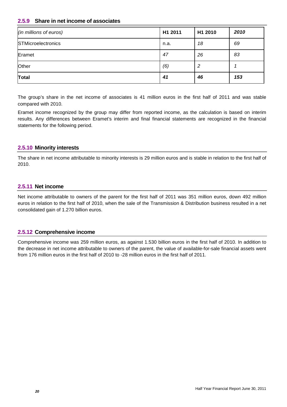### **2.5.9 Share in net income of associates**

| (in millions of euros)    | H1 2011 | H1 2010 | 2010 |
|---------------------------|---------|---------|------|
| <b>STMicroelectronics</b> | n.a.    | 18      | 69   |
| Eramet                    | 47      | 26      | 83   |
| Other                     | (6)     | 2       |      |
| Total                     | 41      | 46      | 153  |

The group's share in the net income of associates is 41 million euros in the first half of 2011 and was stable compared with 2010.

Eramet income recognized by the group may differ from reported income, as the calculation is based on interim results. Any differences between Eramet's interim and final financial statements are recognized in the financial statements for the following period.

### **2.5.10 Minority interests**

The share in net income attributable to minority interests is 29 million euros and is stable in relation to the first half of 2010.

### **2.5.11 Net income**

Net income attributable to owners of the parent for the first half of 2011 was 351 million euros, down 492 million euros in relation to the first half of 2010, when the sale of the Transmission & Distribution business resulted in a net consolidated gain of 1.270 billion euros.

### **2.5.12 Comprehensive income**

Comprehensive income was 259 million euros, as against 1.530 billion euros in the first half of 2010. In addition to the decrease in net income attributable to owners of the parent, the value of available-for-sale financial assets went from 176 million euros in the first half of 2010 to -28 million euros in the first half of 2011.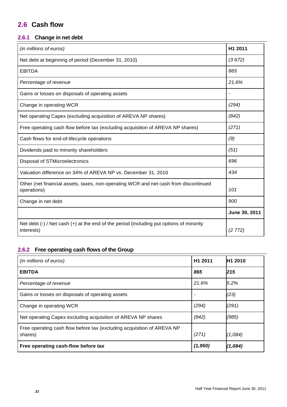# **2.6 Cash flow**

# **2.6.1 Change in net debt**

| (in millions of euros)                                                                                    | H <sub>1</sub> 2011 |
|-----------------------------------------------------------------------------------------------------------|---------------------|
| Net debt at beginning of period (December 31, 2010)                                                       | (3672)              |
| <b>EBITDA</b>                                                                                             | 865                 |
| Percentage of revenue                                                                                     | 21,6%               |
| Gains or losses on disposals of operating assets                                                          |                     |
| Change in operating WCR                                                                                   | (294)               |
| Net operating Capex (excluding acquisition of AREVA NP shares)                                            | (842)               |
| Free operating cash flow before tax (excluding acquisition of AREVA NP shares)                            | (271)               |
| Cash flows for end-of-lifecycle operations                                                                | (9)                 |
| Dividends paid to minority shareholders                                                                   | (51)                |
| Disposal of STMicroelectronics                                                                            | 696                 |
| Valuation difference on 34% of AREVA NP vs. December 31, 2010                                             | 434                 |
| Other (net financial assets, taxes, non-operating WCR and net cash from discontinued<br>operations)       | 101                 |
| Change in net debt                                                                                        | 900                 |
|                                                                                                           | June 30, 2011       |
| Net debt $(-)$ / Net cash $(+)$ at the end of the period (including put options of minority<br>interests) | (2772)              |

# **2.6.2 Free operating cash flows of the Group**

| (in millions of euros)                                                            | H1 2011 | H <sub>1</sub> 2010 |
|-----------------------------------------------------------------------------------|---------|---------------------|
| <b>EBITDA</b>                                                                     | 865     | 215                 |
| Percentage of revenue                                                             | 21.6%   | 5.2%                |
| Gains or losses on disposals of operating assets                                  |         | (23)                |
| Change in operating WCR                                                           | (294)   | (291)               |
| Net operating Capex excluding acquisition of AREVA NP shares                      | (842)   | (985)               |
| Free operating cash flow before tax (excluding acquisition of AREVA NP<br>shares) | (271)   | (1,084)             |
| Free operating cash-flow before tax                                               | (1,950) | (1,084)             |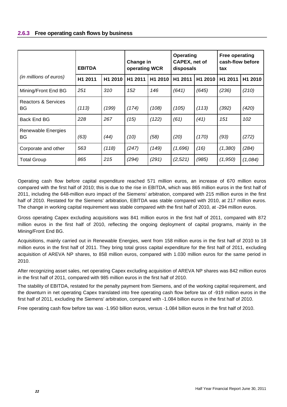|                                      | <b>EBITDA</b> |         |         | Change in<br>operating WCR |         | Operating<br><b>CAPEX, net of</b><br>disposals |         | <b>Free operating</b><br>cash-flow before<br>tax |  |
|--------------------------------------|---------------|---------|---------|----------------------------|---------|------------------------------------------------|---------|--------------------------------------------------|--|
| (in millions of euros)               | H1 2011       | H1 2010 | H1 2011 | H1 2010                    | H1 2011 | H1 2010                                        | H1 2011 | H1 2010                                          |  |
| Mining/Front End BG                  | 251           | 310     | 152     | 146                        | (641)   | (645)                                          | (236)   | (210)                                            |  |
| <b>Reactors &amp; Services</b><br>BG | (113)         | (199)   | (174)   | (108)                      | (105)   | (113)                                          | (392)   | (420)                                            |  |
| <b>Back End BG</b>                   | 228           | 267     | (15)    | (122)                      | (61)    | (41)                                           | 151     | 102                                              |  |
| Renewable Energies<br>BG             | (63)          | (44)    | (10)    | (58)                       | (20)    | (170)                                          | (93)    | (272)                                            |  |
| Corporate and other                  | 563           | (118)   | (247)   | (149)                      | (1,696) | (16)                                           | (1,380) | (284)                                            |  |
| <b>Total Group</b>                   | 865           | 215     | (294)   | (291)                      | (2,521) | (985)                                          | (1,950) | (1,084)                                          |  |

Operating cash flow before capital expenditure reached 571 million euros, an increase of 670 million euros compared with the first half of 2010; this is due to the rise in EBITDA, which was 865 million euros in the first half of 2011, including the 648-million euro impact of the Siemens' arbitration, compared with 215 million euros in the first half of 2010. Restated for the Siemens' arbitration, EBITDA was stable compared with 2010, at 217 million euros. The change in working capital requirement was stable compared with the first half of 2010, at -294 million euros.

Gross operating Capex excluding acquisitions was 841 million euros in the first half of 2011, compared with 872 million euros in the first half of 2010, reflecting the ongoing deployment of capital programs, mainly in the Mining/Front End BG.

Acquisitions, mainly carried out in Renewable Energies, went from 158 million euros in the first half of 2010 to 18 million euros in the first half of 2011. They bring total gross capital expenditure for the first half of 2011, excluding acquisition of AREVA NP shares, to 858 million euros, compared with 1.030 million euros for the same period in 2010.

After recognizing asset sales, net operating Capex excluding acquisition of AREVA NP shares was 842 million euros in the first half of 2011, compared with 985 million euros in the first half of 2010.

The stability of EBITDA, restated for the penalty payment from Siemens, and of the working capital requirement, and the downturn in net operating Capex translated into free operating cash flow before tax of -919 million euros in the first half of 2011, excluding the Siemens' arbitration, compared with -1.084 billion euros in the first half of 2010.

Free operating cash flow before tax was -1.950 billion euros, versus -1.084 billion euros in the first half of 2010.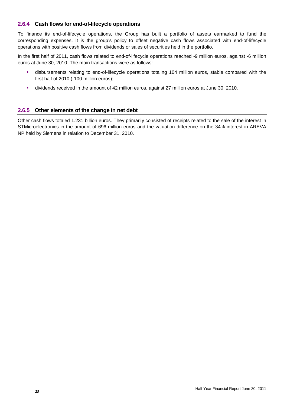## **2.6.4 Cash flows for end-of-lifecycle operations**

To finance its end-of-lifecycle operations, the Group has built a portfolio of assets earmarked to fund the corresponding expenses. It is the group's policy to offset negative cash flows associated with end-of-lifecycle operations with positive cash flows from dividends or sales of securities held in the portfolio.

In the first half of 2011, cash flows related to end-of-lifecycle operations reached -9 million euros, against -6 million euros at June 30, 2010. The main transactions were as follows:

- disbursements relating to end-of-lifecycle operations totaling 104 million euros, stable compared with the first half of 2010 (-100 million euros);
- dividends received in the amount of 42 million euros, against 27 million euros at June 30, 2010.

### **2.6.5 Other elements of the change in net debt**

Other cash flows totaled 1.231 billion euros. They primarily consisted of receipts related to the sale of the interest in STMicroelectronics in the amount of 696 million euros and the valuation difference on the 34% interest in AREVA NP held by Siemens in relation to December 31, 2010.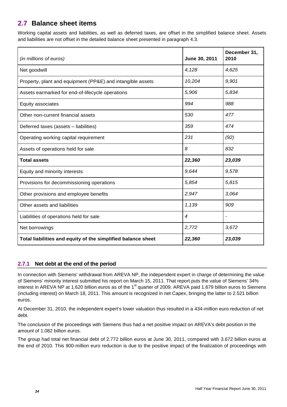# **2.7 Balance sheet items**

Working capital assets and liabilities, as well as deferred taxes, are offset in the simplified balance sheet. Assets and liabilities are not offset in the detailed balance sheet presented in paragraph 4.3.

| (in millions of euros)                                       | June 30, 2011 | December 31,<br>2010 |
|--------------------------------------------------------------|---------------|----------------------|
| Net goodwill                                                 | 4,128         | 4,625                |
| Property, plant and equipment (PP&E) and intangible assets   | 10,204        | 9,901                |
| Assets earmarked for end-of-lifecycle operations             | 5,906         | 5,834                |
| Equity associates                                            | 994           | 988                  |
| Other non-current financial assets                           | 530           | 477                  |
| Deferred taxes (assets - liabilities)                        | 359           | 474                  |
| Operating working capital requirement                        | 231           | (92)                 |
| Assets of operations held for sale                           | 8             | 832                  |
| <b>Total assets</b>                                          | 22,360        | 23,039               |
| Equity and minority interests                                | 9,644         | 9,578                |
| Provisions for decommissioning operations                    | 5,854         | 5,815                |
| Other provisions and employee benefits                       | 2,947         | 3,064                |
| Other assets and liabilities                                 | 1,139         | 909                  |
| Liabilities of operations held for sale                      | 4             |                      |
| Net borrowings                                               | 2,772         | 3,672                |
| Total liabilities and equity of the simplified balance sheet | 22,360        | 23,039               |

## **2.7.1 Net debt at the end of the period**

In connection with Siemens' withdrawal from AREVA NP, the independent expert in charge of determining the value of Siemens' minority interest submitted his report on March 15, 2011. That report puts the value of Siemens' 34% interest in AREVA NP at 1.620 billion euros as of the 1<sup>st</sup> quarter of 2009. AREVA paid 1.679 billion euros to Siemens (including interest) on March 18, 2011. This amount is recognized in net Capex, bringing the latter to 2.521 billion euros.

At December 31, 2010, the independent expert's lower valuation thus resulted in a 434-million euro reduction of net debt.

The conclusion of the proceedings with Siemens thus had a net positive impact on AREVA's debt position in the amount of 1.082 billion euros.

The group had total net financial debt of 2.772 billion euros at June 30, 2011, compared with 3.672 billion euros at the end of 2010. This 900-million euro reduction is due to the positive impact of the finalization of proceedings with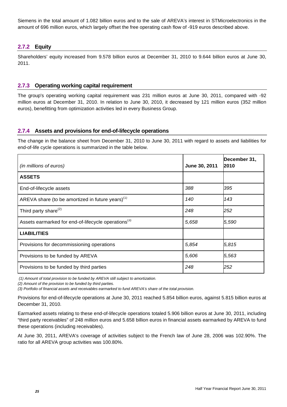Siemens in the total amount of 1.082 billion euros and to the sale of AREVA's interest in STMicroelectronics in the amount of 696 million euros, which largely offset the free operating cash flow of -919 euros described above.

## **2.7.2 Equity**

Shareholders' equity increased from 9.578 billion euros at December 31, 2010 to 9.644 billion euros at June 30, 2011.

## **2.7.3 Operating working capital requirement**

The group's operating working capital requirement was 231 million euros at June 30, 2011, compared with -92 million euros at December 31, 2010. In relation to June 30, 2010, it decreased by 121 million euros (352 million euros), benefitting from optimization activities led in every Business Group.

### **2.7.4 Assets and provisions for end-of-lifecycle operations**

The change in the balance sheet from December 31, 2010 to June 30, 2011 with regard to assets and liabilities for end-of-life cycle operations is summarized in the table below.

| (in millions of euros)                                          | June 30, 2011 | December 31,<br>2010 |
|-----------------------------------------------------------------|---------------|----------------------|
| <b>ASSETS</b>                                                   |               |                      |
| End-of-lifecycle assets                                         | 388           | 395                  |
| AREVA share (to be amortized in future years) <sup>(1)</sup>    | 140           | 143                  |
| Third party share <sup>(2)</sup>                                | 248           | 252                  |
| Assets earmarked for end-of-lifecycle operations <sup>(3)</sup> | 5,658         | 5,590                |
| <b>LIABILITIES</b>                                              |               |                      |
| Provisions for decommissioning operations                       | 5,854         | 5,815                |
| Provisions to be funded by AREVA                                | 5,606         | 5,563                |
| Provisions to be funded by third parties                        | 248           | 252                  |

(1) Amount of total provision to be funded by AREVA still subject to amortization.

(2) Amount of the provision to be funded by third parties.

(3) Portfolio of financial assets and receivables earmarked to fund AREVA's share of the total provision.

Provisions for end-of-lifecycle operations at June 30, 2011 reached 5.854 billion euros, against 5.815 billion euros at December 31, 2010.

Earmarked assets relating to these end-of-lifecycle operations totaled 5.906 billion euros at June 30, 2011, including "third party receivables" of 248 million euros and 5.658 billion euros in financial assets earmarked by AREVA to fund these operations (including receivables).

At June 30, 2011, AREVA's coverage of activities subject to the French law of June 28, 2006 was 102.90%. The ratio for all AREVA group activities was 100.80%.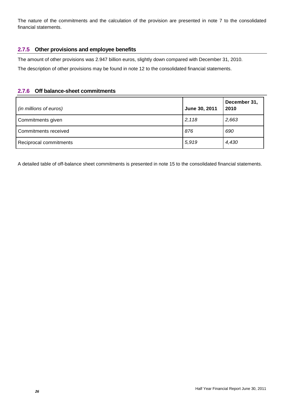The nature of the commitments and the calculation of the provision are presented in note 7 to the consolidated financial statements.

### **2.7.5 Other provisions and employee benefits**

The amount of other provisions was 2.947 billion euros, slightly down compared with December 31, 2010.

The description of other provisions may be found in note 12 to the consolidated financial statements.

### **2.7.6 Off balance-sheet commitments**

| (in millions of euros) | June 30, 2011 | December 31,<br>2010 |
|------------------------|---------------|----------------------|
| Commitments given      | 2,118         | 2,663                |
| Commitments received   | 876           | 690                  |
| Reciprocal commitments | 5,919         | 4,430                |

A detailed table of off-balance sheet commitments is presented in note 15 to the consolidated financial statements.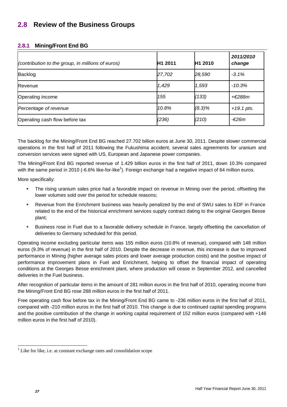# **2.8.1 Mining/Front End BG**

| (contribution to the group, in millions of euros) | H1 2011 | H1 2010   | 2011/2010<br>change |
|---------------------------------------------------|---------|-----------|---------------------|
| Backlog                                           | 27,702  | 28,590    | $-3.1%$             |
| Revenue                                           | 1,429   | 1,593     | $-10.3%$            |
| Operating income                                  | 155     | (133)     | +€288m              |
| Percentage of revenue                             | 10.8%   | $(8.3)\%$ | $+19.1$ pts.        |
| Operating cash flow before tax                    | (236)   | (210)     | $-€26m$             |

The backlog for the Mining/Front End BG reached 27.702 billion euros at June 30, 2011. Despite slower commercial operations in the first half of 2011 following the Fukushima accident, several sales agreements for uranium and conversion services were signed with US, European and Japanese power companies.

The Mining/Front End BG reported revenue of 1.429 billion euros in the first half of 2011, down 10.3% compared with the same period in 2010 (-6.6% like-for-like<sup>1</sup>). Foreign exchange had a negative impact of 64 million euros.

More specifically:

- The rising uranium sales price had a favorable impact on revenue in Mining over the period, offsetting the lower volumes sold over the period for schedule reasons;
- Revenue from the Enrichment business was heavily penalized by the end of SWU sales to EDF in France related to the end of the historical enrichment services supply contract dating to the original Georges Besse plant;
- Business rose in Fuel due to a favorable delivery schedule in France, largely offsetting the cancellation of deliveries to Germany scheduled for this period.

Operating income excluding particular items was 155 million euros (10.8% of revenue), compared with 148 million euros (9.3% of revenue) in the first half of 2010. Despite the decrease in revenue, this increase is due to improved performance in Mining (higher average sales prices and lower average production costs) and the positive impact of performance improvement plans in Fuel and Enrichment, helping to offset the financial impact of operating conditions at the Georges Besse enrichment plant, where production will cease in September 2012, and cancelled deliveries in the Fuel business.

After recognition of particular items in the amount of 281 million euros in the first half of 2010, operating income from the Mining/Front End BG rose 288 million euros in the first half of 2011.

Free operating cash flow before tax in the Mining/Front End BG came to -236 million euros in the first half of 2011, compared with -210 million euros in the first half of 2010. This change is due to continued capital spending programs and the positive contribution of the change in working capital requirement of 152 million euros (compared with +146 million euros in the first half of 2010).

 $\overline{a}$ 

<sup>&</sup>lt;sup>1</sup> Like for like, i.e. at constant exchange rates and consolidation scope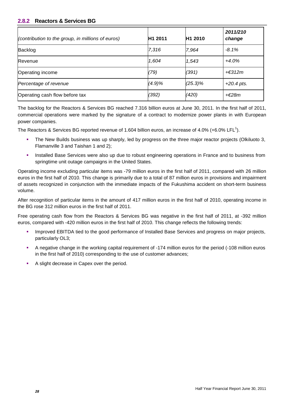### **2.8.2 Reactors & Services BG**

| (contribution to the group, in millions of euros) | H1 2011 | H <sub>1</sub> 2010 | 2011/210<br>change |
|---------------------------------------------------|---------|---------------------|--------------------|
| Backlog                                           | 7,316   | 7,964               | $-8.1%$            |
| Revenue                                           | 1,604   | 1,543               | $+4.0%$            |
| Operating income                                  | (79)    | (391)               | $+$ $E$ 312m       |
| Percentage of revenue                             | (4.9)%  | $(25.3)\%$          | $+20.4$ pts.       |
| Operating cash flow before tax                    | (392)   | (420)               | +€28m              |

The backlog for the Reactors & Services BG reached 7.316 billion euros at June 30, 2011. In the first half of 2011, commercial operations were marked by the signature of a contract to modernize power plants in with European power companies.

The Reactors & Services BG reported revenue of 1.604 billion euros, an increase of 4.0% (+6.0% LFL<sup>1</sup>).

- The New Builds business was up sharply, led by progress on the three major reactor projects (Olkiluoto 3, Flamanville 3 and Taishan 1 and 2);
- Installed Base Services were also up due to robust engineering operations in France and to business from springtime unit outage campaigns in the United States.

Operating income excluding particular items was -79 million euros in the first half of 2011, compared with 26 million euros in the first half of 2010. This change is primarily due to a total of 87 million euros in provisions and impairment of assets recognized in conjunction with the immediate impacts of the Fukushima accident on short-term business volume.

After recognition of particular items in the amount of 417 million euros in the first half of 2010, operating income in the BG rose 312 million euros in the first half of 2011.

Free operating cash flow from the Reactors & Services BG was negative in the first half of 2011, at -392 million euros, compared with -420 million euros in the first half of 2010. This change reflects the following trends:

- **IMPROVED EVALUATE:** Improved EBITDA tied to the good performance of Installed Base Services and progress on major projects, particularly OL3;
- A negative change in the working capital requirement of -174 million euros for the period (-108 million euros in the first half of 2010) corresponding to the use of customer advances;
- A slight decrease in Capex over the period.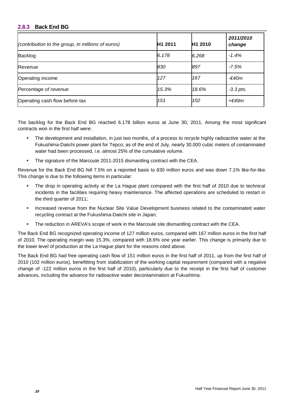## **2.8.3 Back End BG**

| (contribution to the group, in millions of euros) | H <sub>1</sub> 2011 | H <sub>1</sub> 2010 | 2011/2010<br>change |
|---------------------------------------------------|---------------------|---------------------|---------------------|
| Backlog                                           | 6,178               | 6,268               | $-1.4%$             |
| Revenue                                           | 830                 | 897                 | $-7.5%$             |
| Operating income                                  | 127                 | 167                 | $-€40m$             |
| Percentage of revenue                             | 15.3%               | 18.6%               | $-3.3$ pts.         |
| Operating cash flow before tax                    | 151                 | 102                 | +€49m               |

The backlog for the Back End BG reached 6.178 billion euros at June 30, 2011. Among the most significant contracts won in the first half were:

- The development and installation, in just two months, of a process to recycle highly radioactive water at the Fukushima-Daiichi power plant for Tepco; as of the end of July, nearly 30,000 cubic meters of contaminated water had been processed, i.e. almost 25% of the cumulative volume.
- **The signature of the Marcoule 2011-2015 dismantling contract with the CEA.**

Revenue for the Back End BG fell 7.5% on a reported basis to 830 million euros and was down 7.1% like-for-like. This change is due to the following items in particular:

- The drop in operating activity at the La Hague plant compared with the first half of 2010 due to technical incidents in the facilities requiring heavy maintenance. The affected operations are scheduled to restart in the third quarter of 2011;
- Increased revenue from the Nuclear Site Value Development business related to the contaminated water recycling contract at the Fukushima-Daiichi site in Japan;
- The reduction in AREVA's scope of work in the Marcoule site dismantling contract with the CEA.

The Back End BG recognized operating income of 127 million euros, compared with 167 million euros in the first half of 2010. The operating margin was 15.3%, compared with 18.6% one year earlier. This change is primarily due to the lower level of production at the La Hague plant for the reasons cited above.

The Back End BG had free operating cash flow of 151 million euros in the first half of 2011, up from the first half of 2010 (102 million euros), benefitting from stabilization of the working capital requirement (compared with a negative change of -122 million euros in the first half of 2010), particularly due to the receipt in the first half of customer advances, including the advance for radioactive water decontamination at Fukushima.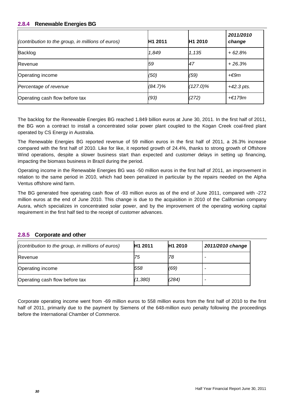### **2.8.4 Renewable Energies BG**

| (contribution to the group, in millions of euros) | H1 2011    | H <sub>1</sub> 2010 | 2011/2010<br>change |
|---------------------------------------------------|------------|---------------------|---------------------|
| Backlog                                           | 1,849      | 1,135               | $+62.8%$            |
| Revenue                                           | 159        | 47                  | $+26.3%$            |
| Operating income                                  | (50)       | (59)                | $+ \epsilon$ 9m     |
| Percentage of revenue                             | $(84.7)\%$ | $(127.0)\%$         | $+42.3$ pts.        |
| Operating cash flow before tax                    | (93)       | (272)               | $+$ $E$ 179m        |

The backlog for the Renewable Energies BG reached 1.849 billion euros at June 30, 2011. In the first half of 2011, the BG won a contract to install a concentrated solar power plant coupled to the Kogan Creek coal-fired plant operated by CS Energy in Australia.

The Renewable Energies BG reported revenue of 59 million euros in the first half of 2011, a 26.3% increase compared with the first half of 2010. Like for like, it reported growth of 24.4%, thanks to strong growth of Offshore Wind operations, despite a slower business start than expected and customer delays in setting up financing, impacting the biomass business in Brazil during the period.

Operating income in the Renewable Energies BG was -50 million euros in the first half of 2011, an improvement in relation to the same period in 2010, which had been penalized in particular by the repairs needed on the Alpha Ventus offshore wind farm.

The BG generated free operating cash flow of -93 million euros as of the end of June 2011, compared with -272 million euros at the end of June 2010. This change is due to the acquisition in 2010 of the Californian company Ausra, which specializes in concentrated solar power, and by the improvement of the operating working capital requirement in the first half tied to the receipt of customer advances.

### **2.8.5 Corporate and other**

| (contribution to the group, in millions of euros) | H <sub>1</sub> 2011 | H <sub>1</sub> 2010 | 2011/2010 change |
|---------------------------------------------------|---------------------|---------------------|------------------|
| Revenue                                           | 75                  | 78                  |                  |
| Operating income                                  | 1558                | (69)                |                  |
| Operating cash flow before tax                    | (1,380)             | (284)               |                  |

Corporate operating income went from -69 million euros to 558 million euros from the first half of 2010 to the first half of 2011, primarily due to the payment by Siemens of the 648-million euro penalty following the proceedings before the International Chamber of Commerce.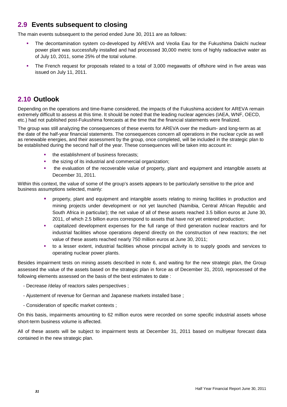# **2.9 Events subsequent to closing**

The main events subsequent to the period ended June 30, 2011 are as follows:

- The decontamination system co-developed by AREVA and Veolia Eau for the Fukushima Daiichi nuclear power plant was successfully installed and had processed 30,000 metric tons of highly radioactive water as of July 10, 2011, some 25% of the total volume.
- The French request for proposals related to a total of 3,000 megawatts of offshore wind in five areas was issued on July 11, 2011.

# **2.10 Outlook**

Depending on the operations and time-frame considered, the impacts of the Fukushima accident for AREVA remain extremely difficult to assess at this time. It should be noted that the leading nuclear agencies (IAEA, WNF, OECD, etc.) had not published post-Fukushima forecasts at the time that the financial statements were finalized.

The group was still analyzing the consequences of these events for AREVA over the medium- and long-term as at the date of the half-year financial statements. The consequences concern all operations in the nuclear cycle as well as renewable energies, and their assessment by the group, once completed, will be included in the strategic plan to be established during the second half of the year. These consequences will be taken into account in:

- the establishment of business forecasts;
- the sizing of its industrial and commercial organization;
- the evaluation of the recoverable value of property, plant and equipment and intangible assets at December 31, 2011.

Within this context, the value of some of the group's assets appears to be particularly sensitive to the price and business assumptions selected, mainly:

- **Peroperty, plant and equipment and intangible assets relating to mining facilities in production and** mining projects under development or not yet launched (Namibia, Central African Republic and South Africa in particular); the net value of all of these assets reached 3.5 billion euros at June 30, 2011, of which 2.5 billion euros correspond to assets that have not yet entered production;
- capitalized development expenses for the full range of third generation nuclear reactors and for industrial facilities whose operations depend directly on the construction of new reactors; the net value of these assets reached nearly 750 million euros at June 30, 2011;
- to a lesser extent, industrial facilities whose principal activity is to supply goods and services to operating nuclear power plants.

Besides impairment tests on mining assets described in note 6, and waiting for the new strategic plan, the Group assessed the value of the assets based on the strategic plan in force as of December 31, 2010, reprocessed of the following elements assessed on the basis of the best estimates to date :

- Decrease /delay of reactors sales perspectives ;
- Ajustement of revenue for German and Japanese markets installed base ;
- Consideration of specific market contexts ;

On this basis, impairments amounting to 62 million euros were recorded on some specific industrial assets whose short-term business volume is affected.

All of these assets will be subject to impairment tests at December 31, 2011 based on multiyear forecast data contained in the new strategic plan.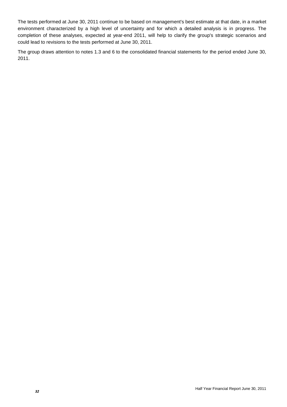The tests performed at June 30, 2011 continue to be based on management's best estimate at that date, in a market environment characterized by a high level of uncertainty and for which a detailed analysis is in progress. The completion of these analyses, expected at year-end 2011, will help to clarify the group's strategic scenarios and could lead to revisions to the tests performed at June 30, 2011.

The group draws attention to notes 1.3 and 6 to the consolidated financial statements for the period ended June 30, 2011.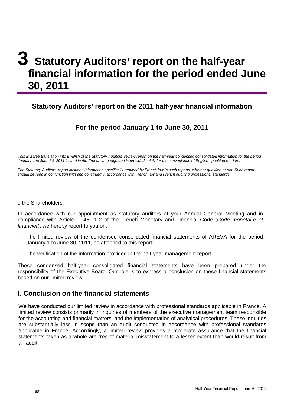# **3 Statutory Auditors' report on the half-year financial information for the period ended June 30, 2011**

# **Statutory Auditors' report on the 2011 half-year financial information**

# **For the period January 1 to June 30, 2011**

The Statutory Auditors' report includes information specifically required by French law in such reports, whether qualified or not. Such report should be read in conjunction with and construed in accordance with French law and French auditing professional standards.

To the Shareholders,

In accordance with our appointment as statutory auditors at your Annual General Meeting and in compliance with Article L. 451-1-2 of the French Monetary and Financial Code (Code monétaire et financier), we hereby report to you on:

- The limited review of the condensed consolidated financial statements of AREVA for the period January 1 to June 30, 2011, as attached to this report;
- The verification of the information provided in the half-year management report.

These condensed half-year consolidated financial statements have been prepared under the responsibility of the Executive Board. Our role is to express a conclusion on these financial statements based on our limited review.

# **I. Conclusion on the financial statements**

We have conducted our limited review in accordance with professional standards applicable in France. A limited review consists primarily in inquiries of members of the executive management team responsible for the accounting and financial matters, and the implementation of analytical procedures. These inquiries are substantially less in scope than an audit conducted in accordance with professional standards applicable in France. Accordingly, a limited review provides a moderate assurance that the financial statements taken as a whole are free of material misstatement to a lesser extent than would result from an audit.

This is a free translation into English of the Statutory Auditors' review report on the half-year condensed consolidated information for the period January 1 to June 30, 2011 issued in the French language and is provided solely for the convenience of English-speaking readers.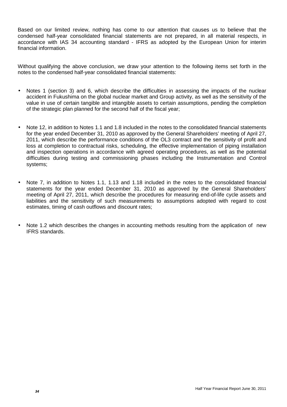Based on our limited review, nothing has come to our attention that causes us to believe that the condensed half-year consolidated financial statements are not prepared, in all material respects, in accordance with IAS 34 accounting standard - IFRS as adopted by the European Union for interim financial information.

Without qualifying the above conclusion, we draw your attention to the following items set forth in the notes to the condensed half-year consolidated financial statements:

- Notes 1 (section 3) and 6, which describe the difficulties in assessing the impacts of the nuclear accident in Fukushima on the global nuclear market and Group activity, as well as the sensitivity of the value in use of certain tangible and intangible assets to certain assumptions, pending the completion of the strategic plan planned for the second half of the fiscal year;
- Note 12, in addition to Notes 1.1 and 1.8 included in the notes to the consolidated financial statements for the year ended December 31, 2010 as approved by the General Shareholders' meeting of April 27, 2011, which describe the performance conditions of the OL3 contract and the sensitivity of profit and loss at completion to contractual risks, scheduling, the effective implementation of piping installation and inspection operations in accordance with agreed operating procedures, as well as the potential difficulties during testing and commissioning phases including the Instrumentation and Control systems;
- Note 7, in addition to Notes 1.1, 1.13 and 1.18 included in the notes to the consolidated financial statements for the year ended December 31, 2010 as approved by the General Shareholders' meeting of April 27, 2011, which describe the procedures for measuring end-of-life cycle assets and liabilities and the sensitivity of such measurements to assumptions adopted with regard to cost estimates, timing of cash outflows and discount rates;
- Note 1.2 which describes the changes in accounting methods resulting from the application of new IFRS standards.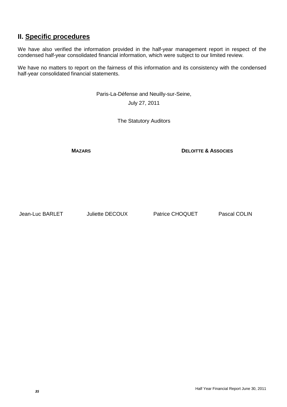# **II. Specific procedures**

We have also verified the information provided in the half-year management report in respect of the condensed half-year consolidated financial information, which were subject to our limited review.

We have no matters to report on the fairness of this information and its consistency with the condensed half-year consolidated financial statements.

Paris-La-Défense and Neuilly-sur-Seine,

July 27, 2011

The Statutory Auditors

**MAZARS**

**DELOITTE & ASSOCIES**

Jean-Luc BARLET Juliette DECOUX

Patrice CHOQUET Pascal COLIN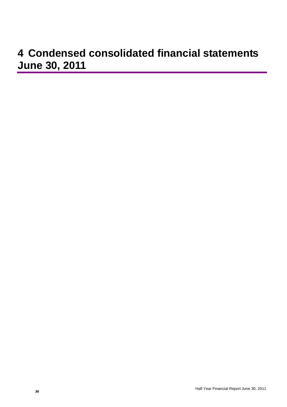# **4 Condensed consolidated financial statements June 30, 2011**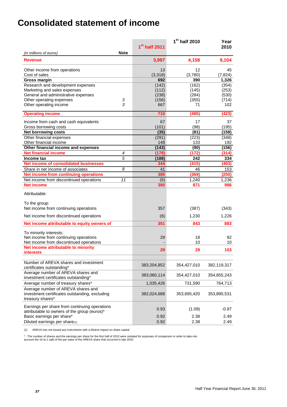# **Consolidated statement of income**

|                                                                                      |             | 1 <sup>st</sup> half 2011 | 1 <sup>st</sup> half 2010 | Year<br>2010 |
|--------------------------------------------------------------------------------------|-------------|---------------------------|---------------------------|--------------|
| (in millions of euros)                                                               | <b>Note</b> |                           |                           |              |
| <b>Revenue</b>                                                                       |             | 3,997                     | 4,158                     | 9,104        |
| Other income from operations                                                         |             | 13                        | 12                        | 45           |
| Cost of sales                                                                        |             | (3,318)                   | (3,780)                   | (7, 824)     |
| <b>Gross margin</b>                                                                  |             | 692                       | 390                       | 1,326        |
| Research and development expenses                                                    |             | (142)                     | (162)                     | (354)        |
| Marketing and sales expenses                                                         |             | (112)                     | (145)                     | (253)        |
| General and administrative expenses                                                  |             | (238)                     | (284)                     | (530)        |
| Other operating expenses                                                             | 3           | (156)                     | (355)                     | (714)        |
| Other operating income                                                               | 3           | 667                       | 71                        | 102          |
| <b>Operating income</b>                                                              |             | 710                       | (485)                     | (423)        |
| Income from cash and cash equivalents                                                |             | 67                        | 17                        | 37           |
| Gross borrowing costs                                                                |             | (101)                     | (98)                      | (195)        |
| <b>Net borrowing costs</b>                                                           |             | (35)                      | (81)                      | (158)        |
| Other financial expenses                                                             |             | (291)                     | (223)                     | (348)        |
| Other financial income                                                               |             | 148                       | 133                       | 192          |
| Other financial income and expenses                                                  |             | (143)                     | (90)                      | (156)        |
| <b>Net financial income</b>                                                          | 4           | (178)                     | (172)                     | (314)        |
| Income tax                                                                           | 5           | (188)                     | 242                       | 334          |
| Net income of consolidated businesses                                                |             | 344                       | (415)                     | (403)        |
| Share in net income of associates                                                    | 8           | 41                        | 46                        | 153          |
| Net income from continuing operations                                                |             | 386                       | (369)                     | (250)        |
| Net income from discontinued operations                                              | 11          | (6)                       | 1,240                     | 1,236        |
| <b>Net income</b>                                                                    |             | 380                       | 871                       | 986          |
| Attributable:                                                                        |             |                           |                           |              |
| To the group:                                                                        |             |                           |                           |              |
| Net income from continuing operations                                                |             | 357                       | (387)                     | (343)        |
| Net income from discontinued operations                                              |             | (6)                       | 1,230                     | 1,226        |
| Net income attributable to equity owners of                                          |             | 351                       | 843                       | 883          |
|                                                                                      |             |                           |                           |              |
| To minority interests:                                                               |             |                           |                           |              |
| Net income from continuing operations                                                |             | 29                        | 18                        | 92           |
| Net income from discontinued operations                                              |             |                           | 10                        | 10           |
| Net income attributable to minority<br><b>interests</b>                              |             | 29                        | 29                        | 103          |
|                                                                                      |             |                           |                           |              |
| Number of AREVA shares and investment<br>certificates outstanding*                   |             | 383,204,852               | 354,427,010               | 382,119,317  |
| Average number of AREVA shares and                                                   |             |                           |                           |              |
| investment certificates outstanding*                                                 |             | 383,060,114               | 354,427,010               | 354,655,243  |
| Average number of treasury shares*                                                   |             | 1,035,426                 | 731,590                   | 764,713      |
| Average number of AREVA shares and<br>investment certificates outstanding, excluding |             | 382,024,688               | 353,695,420               | 353,890,531  |
| treasury shares*                                                                     |             |                           |                           |              |
| Earnings per share from continuing operations                                        |             |                           |                           |              |
| attributable to owners of the group (euros)*                                         |             | 0.93                      | (1.09)                    | -0.97        |
| Basic earnings per share*                                                            |             | 0.92                      | 2.38                      | 2.49         |
| Diluted earnings per share(1)                                                        |             | 0.92                      | 2.38                      | 2.49         |

(1) AREVA has not issued any instruments with a dilutive impact on share capital

\* : The number of shares and the earnings per share for the first half of 2010 were restated for purposes of comparison in order to take into<br>account the 10-to-1 split of the par value of the AREVA share that occurred in l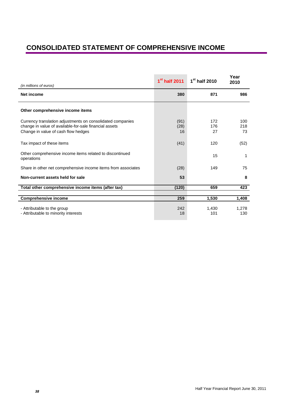# **CONSOLIDATED STATEMENT OF COMPREHENSIVE INCOME**

| (in millions of euros)                                                                                                                                      | $1st$ half 2011    | $1st$ half 2010  | Year<br>2010     |
|-------------------------------------------------------------------------------------------------------------------------------------------------------------|--------------------|------------------|------------------|
| <b>Net income</b>                                                                                                                                           | 380                | 871              | 986              |
| Other comprehensive income items                                                                                                                            |                    |                  |                  |
| Currency translation adjustments on consolidated companies<br>change in value of available-for-sale financial assets<br>Change in value of cash flow hedges | (91)<br>(28)<br>16 | 172<br>176<br>27 | 100<br>218<br>73 |
| Tax impact of these items                                                                                                                                   | (41)               | 120              | (52)             |
| Other comprehensive income items related to discontinued<br>operations                                                                                      |                    | 15               | 1                |
| Share in other net comprehensive income items from associates                                                                                               | (28)               | 149              | 75               |
| Non-current assets held for sale                                                                                                                            | 53                 |                  | 8                |
| Total other comprehensive income items (after tax)                                                                                                          | (120)              | 659              | 423              |
| <b>Comprehensive income</b>                                                                                                                                 | 259                | 1,530            | 1,408            |
| - Attributable to the group<br>- Attributable to minority interests                                                                                         | 242<br>18          | 1,430<br>101     | 1,278<br>130     |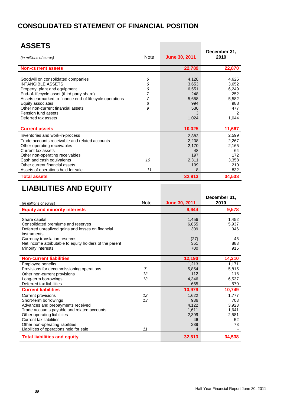# **CONSOLIDATED STATEMENT OF FINANCIAL POSITION**

| <b>ASSETS</b>                                                                                                                                                                                                                                                                                                     |                                 |                                                                     |                                                                                 |
|-------------------------------------------------------------------------------------------------------------------------------------------------------------------------------------------------------------------------------------------------------------------------------------------------------------------|---------------------------------|---------------------------------------------------------------------|---------------------------------------------------------------------------------|
| (in millions of euros)                                                                                                                                                                                                                                                                                            | <b>Note</b>                     | <b>June 30, 2011</b>                                                | December 31,<br>2010                                                            |
| <b>Non-current assets</b>                                                                                                                                                                                                                                                                                         |                                 | 22,789                                                              | 22,870                                                                          |
| Goodwill on consolidated companies<br><b>INTANGIBLE ASSETS</b><br>Property, plant and equipment<br>End-of-lifecycle asset (third party share)<br>Assets earmarked to finance end-of-lifecycle operations<br>Equity associates<br>Other non-current financial assets<br>Pension fund assets<br>Deferred tax assets | 6<br>6<br>6<br>7<br>7<br>8<br>9 | 4,128<br>3,653<br>6,551<br>248<br>5,658<br>994<br>530<br>3<br>1,024 | 4,625<br>3,652<br>6,249<br>252<br>5,582<br>988<br>477<br>$\mathcal{P}$<br>1,044 |
| <b>Current assets</b>                                                                                                                                                                                                                                                                                             |                                 | 10,025                                                              | 11,667                                                                          |
| Inventories and work-in-process<br>Trade accounts receivable and related accounts<br>Other operating receivables<br>Current tax assets<br>Other non-operating receivables<br>Cash and cash equivalents<br>Other current financial assets<br>Assets of operations held for sale                                    | 10<br>11                        | 2,883<br>2,208<br>2,170<br>48<br>197<br>2,311<br>199<br>8           | 2,599<br>2,267<br>2,165<br>64<br>172<br>3,358<br>210<br>832                     |
| <b>Total assets</b>                                                                                                                                                                                                                                                                                               |                                 | 32,813                                                              | 34,538                                                                          |

# **LIABILITIES AND EQUITY**

| (in millions of euros)                                  | <b>Note</b> | <b>June 30, 2011</b> | December 31,<br>2010 |
|---------------------------------------------------------|-------------|----------------------|----------------------|
| <b>Equity and minority interests</b>                    |             | 9,644                | 9,578                |
| Share capital                                           |             | 1,456                | 1,452                |
| Consolidated premiums and reserves                      |             | 6,855                | 5,937                |
| Deferred unrealized gains and losses on financial       |             | 309                  | 346                  |
| instruments                                             |             |                      |                      |
| Currency translation reserves                           |             | (27)                 | 45                   |
| Net income attributable to equity holders of the parent |             | 351                  | 883                  |
| Minority interests                                      |             | 700                  | 915                  |
| <b>Non-current liabilities</b>                          |             | 12,190               | 14,210               |
| Employee benefits                                       |             | 1,213                | 1,171                |
| Provisions for decommissioning operations               | 7           | 5,854                | 5,815                |
| Other non-current provisions                            | 12          | 112                  | 116                  |
| Long-term borrowings                                    | 13          | 4,346                | 6,537                |
| Deferred tax liabilities                                |             | 665                  | 570                  |
| <b>Current liabilities</b>                              |             | 10,979               | 10,749               |
| Current provisions                                      | 12          | 1,622                | 1,777                |
| Short-term borrowings                                   | 13          | 936                  | 703                  |
| Advances and prepayments received                       |             | 4,122                | 3.923                |
| Trade accounts payable and related accounts             |             | 1,611                | 1,641                |
| Other operating liabilities                             |             | 2,399                | 2,581                |
| <b>Current tax liabilities</b>                          |             | 46                   | 52                   |
| Other non-operating liabilities                         |             | 239                  | 73                   |
| Liabilities of operations held for sale                 | 11          | 4                    |                      |
| <b>Total liabilities and equity</b>                     |             | 32,813               | 34,538               |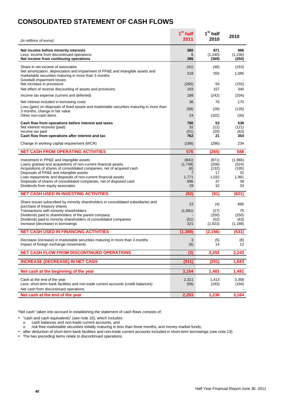# **CONSOLIDATED STATEMENT OF CASH FLOWS**

| (in millions of euros)                                                                                                                                                                                                                                                                                                                                                                                      | 1 <sup>st</sup> half<br>2011                       | 1 <sup>st</sup> half<br>2010                       | 2010                                                 |
|-------------------------------------------------------------------------------------------------------------------------------------------------------------------------------------------------------------------------------------------------------------------------------------------------------------------------------------------------------------------------------------------------------------|----------------------------------------------------|----------------------------------------------------|------------------------------------------------------|
| Net income before minority interests<br>Less: income from discontinued operations<br>Net income from continuing operations                                                                                                                                                                                                                                                                                  | 380<br>6<br>386                                    | 871<br>(1, 240)<br>(369)                           | 986<br>(1,236)<br>(250)                              |
| Share in net income of associates<br>Net amortization, depreciation and impairment of PP&E and intangible assets and<br>marketable securities maturing in more than 3 months<br>Goodwill impairment losses                                                                                                                                                                                                  | (41)<br>318                                        | (46)<br>555                                        | (153)<br>1,085                                       |
| Net increase in provisions<br>Net effect of reverse discounting of assets and provisions                                                                                                                                                                                                                                                                                                                    | (265)<br>193                                       | 50<br>157                                          | (155)<br>340                                         |
| Income tax expense (current and deferred)                                                                                                                                                                                                                                                                                                                                                                   | 188                                                | (242)                                              | (334)                                                |
| Net interest included in borrowing costs                                                                                                                                                                                                                                                                                                                                                                    | 36                                                 | 76                                                 | 170                                                  |
| Loss (gain) on disposals of fixed assets and marketable securities maturing in more than<br>3 months; change in fair value<br>Other non-cash items                                                                                                                                                                                                                                                          | (58)<br>24                                         | (28)<br>(102)                                      | (135)<br>(30)                                        |
| Cash flow from operations before interest and taxes<br>Net interest received (paid)<br>Income tax paid<br>Cash flow from operations after interest and tax                                                                                                                                                                                                                                                  | 780<br>32<br>(51)<br>762                           | 53<br>(12)<br>(20)<br>21                           | 538<br>(121)<br>(63)<br>354                          |
| Change in working capital requirement (WCR)                                                                                                                                                                                                                                                                                                                                                                 | (186)                                              | (286)                                              | 234                                                  |
| <b>NET CASH FROM OPERATING ACTIVITIES</b>                                                                                                                                                                                                                                                                                                                                                                   | 576                                                | (265)                                              | 588                                                  |
| Investment in PP&E and intangible assets<br>Loans granted and acquisitions of non-current financial assets<br>Acquisitions of shares of consolidated companies, net of acquired cash<br>Disposals of PP&E and intangible assets<br>Loan repayments and disposals of non-current financial assets<br>Disposals of shares of consolidated companies, net of disposed cash<br>Dividends from equity associates | (841)<br>(1,748)<br>(6)<br>7<br>1,771<br>696<br>29 | (871)<br>(206)<br>(132)<br>17<br>1,032<br>37<br>32 | (1,966)<br>(524)<br>(195)<br>32<br>1,961<br>39<br>33 |
| <b>NET CASH USED IN INVESTING ACTIVITIES</b>                                                                                                                                                                                                                                                                                                                                                                | (92)                                               | (91)                                               | (621)                                                |
| Share issues subscribed by minority shareholders in consolidated subsidiaries and<br>purchase of treasury shares<br>Transactions with minority shareholders.<br>Dividends paid to shareholders of the parent company<br>Dividends paid to minority shareholders of consolidated companies<br>Increase (decrease) in borrowings                                                                              | 23<br>(1,681)<br>(51)<br>321                       | (4)<br>(27)<br>(250)<br>(52)<br>(1,823)            | 895<br>75<br>(250)<br>(63)<br>(1, 188)               |
| <b>NET CASH USED IN FINANCING ACTIVITIES</b>                                                                                                                                                                                                                                                                                                                                                                | (1, 389)                                           | (2, 156)                                           | (531)                                                |
| Decrease (increase) in marketable securities maturing in more than 3 months<br>Impact of foreign exchange movements                                                                                                                                                                                                                                                                                         | 3<br>(6)                                           | (5)<br>14                                          | (8)<br>12                                            |
| <b>NET CASH FLOW FROM DISCONTINUED OPERATIONS</b>                                                                                                                                                                                                                                                                                                                                                           | (3)                                                | 2,252                                              | 2,243                                                |
| <b>INCREASE (DECREASE) IN NET CASH</b>                                                                                                                                                                                                                                                                                                                                                                      | (911)                                              | (251)                                              | 1,683                                                |
| Net cash at the beginning of the year                                                                                                                                                                                                                                                                                                                                                                       | 3,164                                              | 1,481                                              | 1,481                                                |
| Cash at the end of the year<br>Less: short-term bank facilities and non-trade current accounts (credit balances)<br>Net cash from discontinued operations                                                                                                                                                                                                                                                   | 2,311<br>(58)                                      | 1,413<br>(183)                                     | 3,358<br>(194)                                       |
| Net cash at the end of the year                                                                                                                                                                                                                                                                                                                                                                             | 2,253                                              | 1,230                                              | 3,164                                                |

"Net cash" taken into account in establishing the statement of cash flows consists of:

- "cash and cash equivalents" (see note 10), which includes:
	- o cash balances and non-trade current accounts, and
	- o risk-free marketable securities initially maturing in less than three months, and money market funds;
- after deduction of short-term bank facilities and non-trade current accounts included in short-term borrowings (see note 13).
- The two preceding items relate to discontinued operations.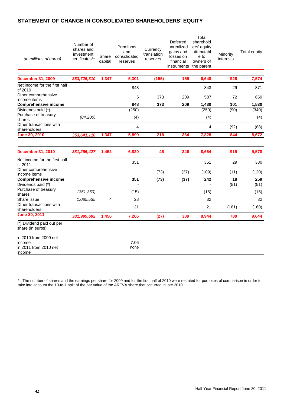## **STATEMENT OF CHANGE IN CONSOLIDATED SHAREHOLDERS' EQUITY**

| (in millions of euros)                                           | Number of<br>shares and<br>investment<br>certificates** | Share<br>capital | Premiums<br>and<br>consolidated<br>reserves | Currency<br>translation<br>reserves | Deferred<br>unrealized<br>gains and<br>losses on<br>financial<br>instruments | Total<br>sharehold<br>ers' equity<br>attributabl<br>e to<br>owners of<br>the parent | Minority<br>interests | Total equity |
|------------------------------------------------------------------|---------------------------------------------------------|------------------|---------------------------------------------|-------------------------------------|------------------------------------------------------------------------------|-------------------------------------------------------------------------------------|-----------------------|--------------|
|                                                                  |                                                         |                  |                                             |                                     |                                                                              |                                                                                     |                       |              |
| <b>December 31, 2009</b>                                         | 353,725,310                                             | 1,347            | 5,301                                       | (155)                               | 155                                                                          | 6,648                                                                               | 926                   | 7,574        |
| Net income for the first half<br>of 2010                         |                                                         |                  | 843                                         |                                     |                                                                              | 843                                                                                 | 29                    | 871          |
| Other comprehensive<br>ncome items                               |                                                         |                  | 5                                           | 373                                 | 209                                                                          | 587                                                                                 | 72                    | 659          |
| <b>Comprehensive income</b>                                      |                                                         |                  | 848                                         | 373                                 | 209                                                                          | 1,430                                                                               | 101                   | 1,530        |
| Dividends paid (*)                                               |                                                         |                  | (250)                                       |                                     |                                                                              | (250)                                                                               | (90)                  | (340)        |
| Purchase of treasury<br>shares                                   | (84, 200)                                               |                  | (4)                                         |                                     |                                                                              | (4)                                                                                 |                       | (4)          |
| Other transactions with<br>shareholders                          |                                                         |                  | $\overline{4}$                              |                                     |                                                                              | 4                                                                                   | (92)                  | (88)         |
| <b>June 30, 2010</b>                                             | 353,641,110                                             | 1,347            | 5,899                                       | 218                                 | 364                                                                          | 7,828                                                                               | 844                   | 8,672        |
|                                                                  |                                                         |                  |                                             |                                     |                                                                              |                                                                                     |                       |              |
| <b>December 31, 2010</b>                                         | 381,265,427                                             | 1,452            | 6,820                                       | 46                                  | 346                                                                          | 8,664                                                                               | 915                   | 9,578        |
| Net income for the first half<br>of 2011                         |                                                         |                  | 351                                         |                                     |                                                                              | 351                                                                                 | 29                    | 380          |
| Other comprehensive<br>ncome items                               |                                                         |                  |                                             | (73)                                | (37)                                                                         | (109)                                                                               | (11)                  | (120)        |
| <b>Comprehensive income</b>                                      |                                                         |                  | 351                                         | (73)                                | (37)                                                                         | 242                                                                                 | 18                    | 259          |
| Dividends paid (*)                                               |                                                         |                  |                                             |                                     |                                                                              |                                                                                     | (51)                  | (51)         |
| Purchase of treasury<br>shares                                   | (351, 360)                                              |                  | (15)                                        |                                     |                                                                              | (15)                                                                                |                       | (15)         |
| Share issue                                                      | 1,085,535                                               | 4                | 28                                          |                                     |                                                                              | 32                                                                                  |                       | 32           |
| Other transactions with<br>shareholders                          |                                                         |                  | 21                                          |                                     |                                                                              | 21                                                                                  | (181)                 | (160)        |
| June 30, 2011                                                    | 381,999,602                                             | 1,456            | 7,206                                       | (27)                                | 309                                                                          | 8,944                                                                               | 700                   | 9,644        |
| (*) Dividend paid out per<br>share (in euros):                   |                                                         |                  |                                             |                                     |                                                                              |                                                                                     |                       |              |
| in 2010 from 2009 net<br>ncome<br>in 2011 from 2010 net<br>ncome |                                                         |                  | 7.06<br>none                                |                                     |                                                                              |                                                                                     |                       |              |

\* : The number of shares and the earnings per share for 2009 and for the first half of 2010 were restated for purposes of comparison in order to take into account the 10-to-1 split of the par value of the AREVA share that occurred in late 2010.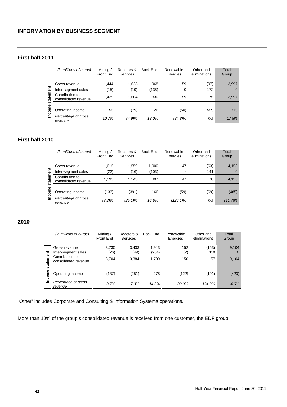### **First half 2011**

|          | (in millions of euros)                  | Mining/<br><b>Front End</b> | Reactors &<br>Services | Back End | Renewable<br>Energies | Other and<br>eliminations | Total<br>Group |
|----------|-----------------------------------------|-----------------------------|------------------------|----------|-----------------------|---------------------------|----------------|
|          | Gross revenue                           | 1.444                       | 1,623                  | 968      | 59                    | (97)                      | 3,997          |
| 듦        | Inter-segment sales                     | (15)                        | (19)                   | (138)    | 0                     | 172                       | 0              |
| state    | Contribution to<br>consolidated revenue | 1.429                       | 1.604                  | 830      | 59                    | 75                        | 3,997          |
| ω        |                                         |                             |                        |          |                       |                           |                |
|          | Operating income                        | 155                         | (79)                   | 126      | (50)                  | 559                       | 710            |
| nco<br>E | Percentage of gross<br>revenue          | 10.7%                       | (4.9%                  | 13.0%    | (84.8)%               | n/a                       | 17.8%          |

### **First half 2010**

|    | (in millions of euros)                  | Mining/<br><b>Front End</b> | Reactors &<br>Services | Back End | Renewable<br>Energies | Other and<br>eliminations | Total<br>Group |
|----|-----------------------------------------|-----------------------------|------------------------|----------|-----------------------|---------------------------|----------------|
|    | Gross revenue                           | 1,615                       | 1,559                  | 1,000    | 47                    | (63)                      | 4,158          |
|    | Inter-segment sales                     | (22)                        | (16)                   | (103)    |                       | 141                       | $\Omega$       |
|    | Contribution to<br>consolidated revenue | 1,593                       | 1.543                  | 897      | 47                    | 78                        | 4,158          |
| Ō. |                                         |                             |                        |          |                       |                           |                |
|    | Operating income                        | (133)                       | (391)                  | 166      | (59)                  | (69)                      | (485)          |
|    | Percentage of gross<br>revenue          | (8.2)%                      | (25.1)%                | 16.6%    | (126.1)%              | n/a                       | $(11.7)\%$     |

### **2010**

|                 | (in millions of euros)                  | Mining/<br>Front End | Reactors &<br>Services | <b>Back End</b> | Renewable<br>Energies | Other and<br>eliminations | Total<br>Group |
|-----------------|-----------------------------------------|----------------------|------------------------|-----------------|-----------------------|---------------------------|----------------|
|                 | Gross revenue                           | 3,730                | 3,433                  | 1.943           | 152                   | (153)                     | 9,104          |
| Ë               | Inter-segment sales                     | (26)                 | (49)                   | (234)           | (2)                   | 310                       | $\Omega$       |
| ω<br>Ē          | Contribution to<br>consolidated revenue | 3.704                | 3.384                  | 1.709           | 150                   | 157                       | 9,104          |
| state           |                                         |                      |                        |                 |                       |                           |                |
| Φ<br>Ē<br>lncol | Operating income                        | (137)                | (251)                  | 278             | (122)                 | (191)                     | (423)          |
|                 | Percentage of gross<br>revenue          | $-3.7%$              | $-7.3%$                | 14.3%           | $-80.0\%$             | 124.9%                    | $-4.6%$        |

"Other" includes Corporate and Consulting & Information Systems operations.

More than 10% of the group's consolidated revenue is received from one customer, the EDF group.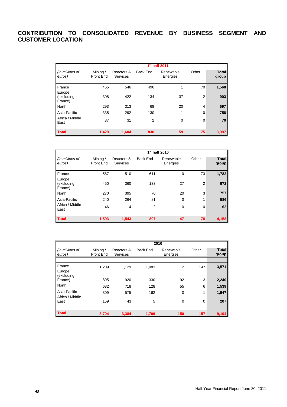# **CONTRIBUTION TO CONSOLIDATED REVENUE BY BUSINESS SEGMENT AND CUSTOMER LOCATION**

|                                 | 1 <sup>st</sup> half 2011   |                        |                 |                       |                |                       |  |
|---------------------------------|-----------------------------|------------------------|-----------------|-----------------------|----------------|-----------------------|--|
| (in millions of<br>euros)       | Mining/<br><b>Front End</b> | Reactors &<br>Services | <b>Back End</b> | Renewable<br>Energies | Other          | <b>Total</b><br>group |  |
| France                          | 455                         | 546                    | 496             |                       | 70             | 1,568                 |  |
| Europe<br>(excluding<br>France) | 308                         | 422                    | 134             | 37                    | $\overline{2}$ | 903                   |  |
| North                           | 293                         | 313                    | 68              | 20                    | $\overline{4}$ | 697                   |  |
| Asia-Pacific                    | 335                         | 292                    | 130             | 1                     | 0              | 758                   |  |
| Africa / Middle<br>East         | 37                          | 31                     | $\overline{2}$  | $\Omega$              | 0              | 70                    |  |
| <b>Total</b>                    | 1,429                       | 1,604                  | 830             | 59                    | 75             | 3,997                 |  |

|                                 | 1 <sup>st</sup> half 2010   |                        |          |                       |                |                       |  |
|---------------------------------|-----------------------------|------------------------|----------|-----------------------|----------------|-----------------------|--|
| (in millions of<br>euros)       | Mining/<br><b>Front End</b> | Reactors &<br>Services | Back End | Renewable<br>Energies | Other          | <b>Total</b><br>group |  |
| France                          | 587                         | 510                    | 611      | $\mathbf 0$           | 73             | 1,782                 |  |
| Europe<br>(excluding<br>France) | 450                         | 360                    | 133      | 27                    | $\overline{2}$ | 972                   |  |
| North                           | 270                         | 395                    | 70       | 20                    | 3              | 757                   |  |
| Asia-Pacific                    | 240                         | 264                    | 81       | $\mathbf 0$           | 1              | 586                   |  |
| Africa / Middle<br>East         | 46                          | 14                     | 2        | $\Omega$              | 0              | 62                    |  |
| <b>Total</b>                    | 1,593                       | 1,543                  | 897      | 47                    | 78             | 4,158                 |  |

|                                 | 2010                        |                        |                 |                       |       |                       |
|---------------------------------|-----------------------------|------------------------|-----------------|-----------------------|-------|-----------------------|
| (in millions of<br>euros)       | Mining/<br><b>Front End</b> | Reactors &<br>Services | <b>Back End</b> | Renewable<br>Energies | Other | <b>Total</b><br>group |
|                                 |                             |                        |                 |                       |       |                       |
| France<br>Europe<br>(excluding  | 1,209                       | 1,129                  | 1,083           | $\overline{2}$        | 147   | 3,571                 |
| France)                         | 895                         | 920                    | 330             | 92                    | 3     | 2,240                 |
| North                           | 632                         | 718                    | 128             | 55                    | 6     | 1,539                 |
| Asia-Pacific<br>Africa / Middle | 809                         | 575                    | 162             | $\mathbf 0$           | 1     | 1,547                 |
| East                            | 159                         | 43                     | 5               | $\mathbf 0$           | 0     | 207                   |
| <b>Total</b>                    | 3,704                       | 3,384                  | 1,709           | 150                   | 157   | 9,104                 |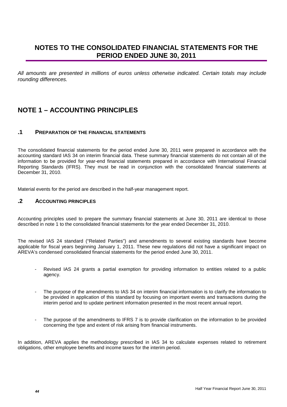# **NOTES TO THE CONSOLIDATED FINANCIAL STATEMENTS FOR THE PERIOD ENDED JUNE 30, 2011**

All amounts are presented in millions of euros unless otherwise indicated. Certain totals may include rounding differences.

# **NOTE 1 – ACCOUNTING PRINCIPLES**

### **.1 PREPARATION OF THE FINANCIAL STATEMENTS**

The consolidated financial statements for the period ended June 30, 2011 were prepared in accordance with the accounting standard IAS 34 on interim financial data. These summary financial statements do not contain all of the information to be provided for year-end financial statements prepared in accordance with International Financial Reporting Standards (IFRS). They must be read in conjunction with the consolidated financial statements at December 31, 2010.

Material events for the period are described in the half-year management report.

### **.2 ACCOUNTING PRINCIPLES**

Accounting principles used to prepare the summary financial statements at June 30, 2011 are identical to those described in note 1 to the consolidated financial statements for the year ended December 31, 2010.

The revised IAS 24 standard ("Related Parties") and amendments to several existing standards have become applicable for fiscal years beginning January 1, 2011. These new regulations did not have a significant impact on AREVA's condensed consolidated financial statements for the period ended June 30, 2011.

- Revised IAS 24 grants a partial exemption for providing information to entities related to a public agency.
- The purpose of the amendments to IAS 34 on interim financial information is to clarify the information to be provided in application of this standard by focusing on important events and transactions during the interim period and to update pertinent information presented in the most recent annual report.
- The purpose of the amendments to IFRS 7 is to provide clarification on the information to be provided concerning the type and extent of risk arising from financial instruments.

In addition, AREVA applies the methodology prescribed in IAS 34 to calculate expenses related to retirement obligations, other employee benefits and income taxes for the interim period.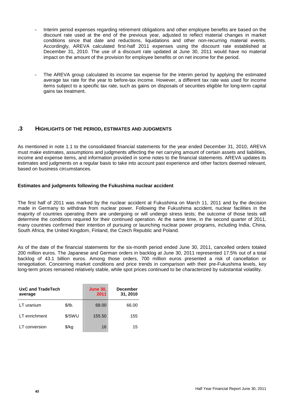- Interim period expenses regarding retirement obligations and other employee benefits are based on the discount rate used at the end of the previous year, adjusted to reflect material changes in market conditions since that date and reductions, liquidations and other non-recurring material events. Accordingly, AREVA calculated first-half 2011 expenses using the discount rate established at December 31, 2010. The use of a discount rate updated at June 30, 2011 would have no material impact on the amount of the provision for employee benefits or on net income for the period.
- The AREVA group calculated its income tax expense for the interim period by applying the estimated average tax rate for the year to before-tax income. However, a different tax rate was used for income items subject to a specific tax rate, such as gains on disposals of securities eligible for long-term capital gains tax treatment.

### **.3 HIGHLIGHTS OF THE PERIOD, ESTIMATES AND JUDGMENTS**

As mentioned in note 1.1 to the consolidated financial statements for the year ended December 31, 2010, AREVA must make estimates, assumptions and judgments affecting the net carrying amount of certain assets and liabilities, income and expense items, and information provided in some notes to the financial statements. AREVA updates its estimates and judgments on a regular basis to take into account past experience and other factors deemed relevant, based on business circumstances.

### **Estimates and judgments following the Fukushima nuclear accident**

The first half of 2011 was marked by the nuclear accident at Fukushima on March 11, 2011 and by the decision made in Germany to withdraw from nuclear power. Following the Fukushima accident, nuclear facilities in the majority of countries operating them are undergoing or will undergo stress tests; the outcome of those tests will determine the conditions required for their continued operation. At the same time, in the second quarter of 2011, many countries confirmed their intention of pursuing or launching nuclear power programs, including India, China, South Africa, the United Kingdom, Finland, the Czech Republic and Poland.

As of the date of the financial statements for the six-month period ended June 30, 2011, cancelled orders totaled 200 million euros. The Japanese and German orders in backlog at June 30, 2011 represented 17.5% out of a total backlog of 43.1 billion euros. Among those orders, 700 million euros presented a risk of cancellation or renegotiation. Concerning market conditions and price trends in comparison with their pre-Fukushima levels, key long-term prices remained relatively stable, while spot prices continued to be characterized by substantial volatility.

| UxC and TradeTech<br>average |               | <b>June 30,</b><br>2011 | <b>December</b><br>31, 2010 |
|------------------------------|---------------|-------------------------|-----------------------------|
| LT uranium                   | \$/lb.        | 68.00                   | 66.00                       |
| LT enrichment                | \$/SWU        | 155.50                  | 155                         |
| LT conversion                | $\frac{f}{g}$ | 16                      | 15                          |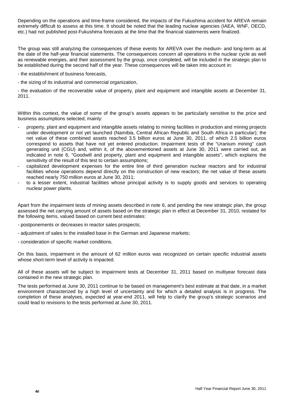Depending on the operations and time-frame considered, the impacts of the Fukushima accident for AREVA remain extremely difficult to assess at this time. It should be noted that the leading nuclear agencies (IAEA, WNF, OECD, etc.) had not published post-Fukushima forecasts at the time that the financial statements were finalized.

The group was still analyzing the consequences of these events for AREVA over the medium- and long-term as at the date of the half-year financial statements. The consequences concern all operations in the nuclear cycle as well as renewable energies, and their assessment by the group, once completed, will be included in the strategic plan to be established during the second half of the year. These consequences will be taken into account in:

- the establishment of business forecasts,

- the sizing of its industrial and commercial organization,

- the evaluation of the recoverable value of property, plant and equipment and intangible assets at December 31, 2011.

Within this context, the value of some of the group's assets appears to be particularly sensitive to the price and business assumptions selected, mainly:

- property, plant and equipment and intangible assets relating to mining facilities in production and mining projects under development or not yet launched (Namibia, Central African Republic and South Africa in particular); the net value of these combined assets reached 3.5 billion euros at June 30, 2011, of which 2.5 billion euros correspond to assets that have not yet entered production. Impairment tests of the "Uranium mining" cash generating unit (CGU) and, within it, of the abovementioned assets at June 30, 2011 were carried out, as indicated in note 6, "Goodwill and property, plant and equipment and intangible assets", which explains the sensitivity of the result of this test to certain assumptions;
- capitalized development expenses for the entire line of third generation nuclear reactors and for industrial facilities whose operations depend directly on the construction of new reactors; the net value of these assets reached nearly 750 million euros at June 30, 2011;
- to a lesser extent, industrial facilities whose principal activity is to supply goods and services to operating nuclear power plants.

Apart from the impairment tests of mining assets described in note 6, and pending the new strategic plan, the group assessed the net carrying amount of assets based on the strategic plan in effect at December 31, 2010, restated for the following items, valued based on current best estimates:

- postponements or decreases in reactor sales prospects;
- adjustment of sales to the installed base in the German and Japanese markets;
- consideration of specific market conditions.

On this basis, impairment in the amount of 62 million euros was recognized on certain specific industrial assets whose short-term level of activity is impacted.

All of these assets will be subject to impairment tests at December 31, 2011 based on multiyear forecast data contained in the new strategic plan.

The tests performed at June 30, 2011 continue to be based on management's best estimate at that date, in a market environment characterized by a high level of uncertainty and for which a detailed analysis is in progress. The completion of these analyses, expected at year-end 2011, will help to clarify the group's strategic scenarios and could lead to revisions to the tests performed at June 30, 2011.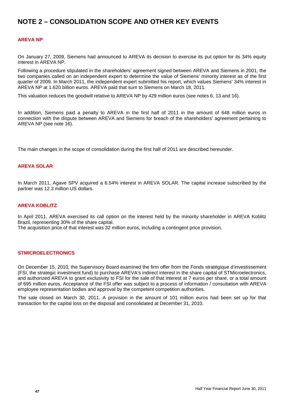# **NOTE 2 – CONSOLIDATION SCOPE AND OTHER KEY EVENTS**

### **AREVA NP**

On January 27, 2009, Siemens had announced to AREVA its decision to exercise its put option for its 34% equity interest in AREVA NP.

Following a procedure stipulated in the shareholders' agreement signed between AREVA and Siemens in 2001, the two companies called on an independent expert to determine the value of Siemens' minority interest as of the first quarter of 2009. In March 2011, the independent expert submitted his report, which values Siemens' 34% interest in AREVA NP at 1.620 billion euros. AREVA paid that sum to Siemens on March 18, 2011.

This valuation reduces the goodwill relative to AREVA NP by 429 million euros (see notes 6, 13 and 16).

In addition, Siemens paid a penalty to AREVA in the first half of 2011 in the amount of 648 million euros in connection with the dispute between AREVA and Siemens for breach of the shareholders' agreement pertaining to AREVA NP (see note 16).

The main changes in the scope of consolidation during the first half of 2011 are described hereunder.

### **AREVA SOLAR**

In March 2011, Agave SPV acquired a 6.54% interest in AREVA SOLAR. The capital increase subscribed by the partner was 12.3 million US dollars.

### **AREVA KOBLITZ**

In April 2011, AREVA exercised its call option on the interest held by the minority shareholder in AREVA Koblitz Brazil, representing 30% of the share capital.

The acquisition price of that interest was 32 million euros, including a contingent price provision.

### **STMICROELECTRONICS**

On December 15, 2010, the Supervisory Board examined the firm offer from the Fonds stratégique d'investissement (FSI, the strategic investment fund) to purchase AREVA's indirect interest in the share capital of STMicroelectronics, and authorized AREVA to grant exclusivity to FSI for the sale of that interest at 7 euros per share, or a total amount of 695 million euros. Acceptance of the FSI offer was subject to a process of information / consultation with AREVA employee representation bodies and approval by the competent competition authorities.

The sale closed on March 30, 2011. A provision in the amount of 101 million euros had been set up for that transaction for the capital loss on the disposal and consolidated at December 31, 2010.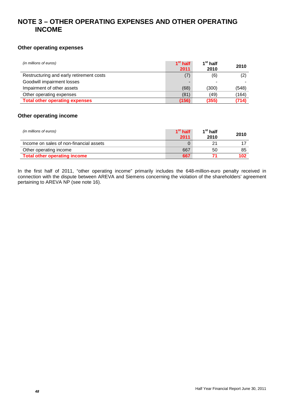# **NOTE 3 – OTHER OPERATING EXPENSES AND OTHER OPERATING INCOME**

### **Other operating expenses**

| (in millions of euros)                   | 1 <sup>st</sup> half<br>2011 | 1 <sup>st</sup> half<br>2010 | 2010  |
|------------------------------------------|------------------------------|------------------------------|-------|
| Restructuring and early retirement costs | (7)                          | (6)                          | (2)   |
| Goodwill impairment losses               |                              |                              |       |
| Impairment of other assets               | (68)                         | (300)                        | (548) |
| Other operating expenses                 | (81)                         | (49)                         | (164) |
| <b>Total other operating expenses</b>    | (156)                        | (355)                        | (714) |

### **Other operating income**

| (in millions of euros)                  | $1st$ half<br>2011 | $1st$ half<br>2010 | 2010 |
|-----------------------------------------|--------------------|--------------------|------|
| Income on sales of non-financial assets |                    |                    |      |
| Other operating income                  | 667                | 50                 |      |
| <b>Total other operating income</b>     | 667                |                    | 102  |

In the first half of 2011, "other operating income" primarily includes the 648-million-euro penalty received in connection with the dispute between AREVA and Siemens concerning the violation of the shareholders' agreement pertaining to AREVA NP (see note 16).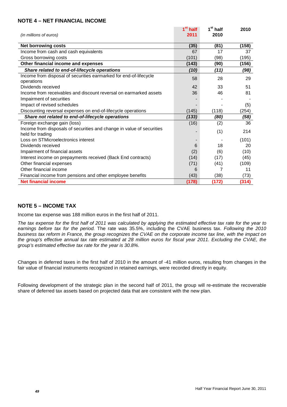## **NOTE 4 – NET FINANCIAL INCOME**

| (in millions of euros)                                                | 1 <sup>st</sup> half<br>2011 | 1 <sup>st</sup> half<br>2010 | 2010  |
|-----------------------------------------------------------------------|------------------------------|------------------------------|-------|
|                                                                       |                              |                              |       |
| <b>Net borrowing costs</b>                                            | (35)                         | (81)                         | (158) |
| Income from cash and cash equivalents                                 | 67                           | 17                           | 37    |
| Gross borrowing costs                                                 | (101)                        | (98)                         | (195) |
| Other financial income and expenses                                   | (143)                        | (90)                         | (156) |
| Share related to end-of-lifecycle operations                          | (10)                         | (11)                         | (98)  |
| Income from disposal of securities earmarked for end-of-lifecycle     | 58                           | 28                           | 29    |
| operations                                                            |                              |                              |       |
| Dividends received                                                    | 42                           | 33                           | 51    |
| Income from receivables and discount reversal on earmarked assets     | 36                           | 46                           | 81    |
| Impairment of securities                                              |                              |                              |       |
| Impact of revised schedules                                           |                              |                              | (5)   |
| Discounting reversal expenses on end-of-lifecycle operations          | (145)                        | (118)                        | (254) |
| Share not related to end-of-lifecycle operations                      | (133)                        | (80)                         | (58)  |
| Foreign exchange gain (loss)                                          | (16)                         | (2)                          | 36    |
| Income from disposals of securities and change in value of securities |                              | (1)                          | 214   |
| held for trading                                                      |                              |                              |       |
| Loss on STMicroelectronics interest                                   |                              |                              | (101) |
| Dividends received                                                    | 6                            | 18                           | 20    |
| Impairment of financial assets                                        | (2)                          | (6)                          | (10)  |
| Interest income on prepayments received (Back End contracts)          | (14)                         | (17)                         | (45)  |
| Other financial expenses                                              | (71)                         | (41)                         | (109) |
| Other financial income                                                | 6                            | 7                            | 11    |
| Financial income from pensions and other employee benefits            | (43)                         | (38)                         | (73)  |
| <b>Net financial income</b>                                           | (178)                        | (172)                        | (314) |

## **NOTE 5 – INCOME TAX**

Income tax expense was 188 million euros in the first half of 2011.

The tax expense for the first half of 2011 was calculated by applying the estimated effective tax rate for the year to earnings before tax for the period. The rate was 35.5%, including the CVAE business tax. Following the 2010 business tax reform in France, the group recognizes the CVAE on the corporate income tax line, with the impact on the group's effective annual tax rate estimated at 28 million euros for fiscal year 2011. Excluding the CVAE, the group's estimated effective tax rate for the year is 30.8%.

Changes in deferred taxes in the first half of 2010 in the amount of -41 million euros, resulting from changes in the fair value of financial instruments recognized in retained earnings, were recorded directly in equity.

Following development of the strategic plan in the second half of 2011, the group will re-estimate the recoverable share of deferred tax assets based on projected data that are consistent with the new plan.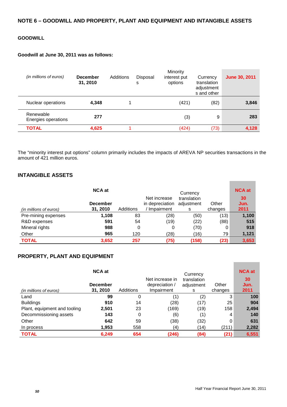## **GOODWILL**

### **Goodwill at June 30, 2011 was as follows:**

| (in millions of euros)           | <b>December</b><br>31, 2010 | Additions | Disposal<br>s | Minority<br>interest put<br>options | Currency<br>translation<br>adjustment<br>s and other | <b>June 30, 2011</b> |
|----------------------------------|-----------------------------|-----------|---------------|-------------------------------------|------------------------------------------------------|----------------------|
| Nuclear operations               | 4,348                       |           |               | (421)                               | (82)                                                 | 3,846                |
| Renewable<br>Energies operations | 277                         |           |               | (3)                                 | 9                                                    | 283                  |
| <b>TOTAL</b>                     | 4,625                       |           |               | (424)                               | (73)                                                 | 4,128                |

The "minority interest put options" column primarily includes the impacts of AREVA NP securities transactions in the amount of 421 million euros.

## **INTANGIBLE ASSETS**

|                        | <b>NCA at</b>               |           |                                               | Currency                       |                  | <b>NCA at</b>      |
|------------------------|-----------------------------|-----------|-----------------------------------------------|--------------------------------|------------------|--------------------|
| (in millions of euros) | <b>December</b><br>31, 2010 | Additions | Net increase<br>in depreciation<br>Impairment | translation<br>adjustment<br>s | Other<br>changes | 30<br>Jun.<br>2011 |
| Pre-mining expenses    | 1,108                       | 83        | (28)                                          | (50)                           | (13)             | 1,100              |
| R&D expenses           | 591                         | 54        | (19)                                          | (22)                           | (88)             | 515                |
| Mineral rights         | 988                         | 0         | 0                                             | (70)                           | 0                | 918                |
| Other                  | 965                         | 120       | (28)                                          | (16)                           | 79               | 1,121              |
| <b>TOTAL</b>           | 3,652                       | 257       | (75)                                          | (158)                          | (23)             | 3,653              |

### **PROPERTY, PLANT AND EQUIPMENT**

|                              | <b>NCA at</b>               |           |                                                 | Currency                       |                  | <b>NCA at</b>      |
|------------------------------|-----------------------------|-----------|-------------------------------------------------|--------------------------------|------------------|--------------------|
| (in millions of euros)       | <b>December</b><br>31, 2010 | Additions | Net increase in<br>depreciation /<br>Impairment | translation<br>adjustment<br>s | Other<br>changes | 30<br>Jun.<br>2011 |
| Land                         | 99                          | 0         | (1)                                             | (2)                            | 3                | 100                |
| <b>Buildings</b>             | 910                         | 14        | (28)                                            | (17)                           | 25               | 904                |
| Plant, equipment and tooling | 2,501                       | 23        | (169)                                           | (19)                           | 158              | 2,494              |
| Decommissioning assets       | 143                         | 0         | (6)                                             | (1)                            | 4                | 140                |
| Other                        | 642                         | 59        | (38)                                            | (32)                           | 0                | 631                |
| In process                   | 1,953                       | 558       | (4)                                             | (14)                           | (211)            | 2,282              |
| <b>TOTAL</b>                 | 6,249                       | 654       | (246)                                           | (84)                           | (21)             | 6,551              |

**Contract Contract** 

**Contract Contract**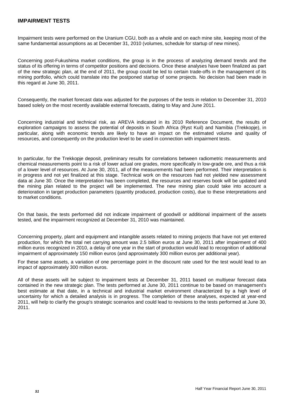### **IMPAIRMENT TESTS**

Impairment tests were performed on the Uranium CGU, both as a whole and on each mine site, keeping most of the same fundamental assumptions as at December 31, 2010 (volumes, schedule for startup of new mines).

Concerning post-Fukushima market conditions, the group is in the process of analyzing demand trends and the status of its offering in terms of competitor positions and decisions. Once these analyses have been finalized as part of the new strategic plan, at the end of 2011, the group could be led to certain trade-offs in the management of its mining portfolio, which could translate into the postponed startup of some projects. No decision had been made in this regard at June 30, 2011.

Consequently, the market forecast data was adjusted for the purposes of the tests in relation to December 31, 2010 based solely on the most recently available external forecasts, dating to May and June 2011.

Concerning industrial and technical risk, as AREVA indicated in its 2010 Reference Document, the results of exploration campaigns to assess the potential of deposits in South Africa (Ryst Kuil) and Namibia (Trekkopje), in particular, along with economic trends are likely to have an impact on the estimated volume and quality of resources, and consequently on the production level to be used in connection with impairment tests.

In particular, for the Trekkopje deposit, preliminary results for correlations between radiometric measurements and chemical measurements point to a risk of lower actual ore grades, more specifically in low-grade ore, and thus a risk of a lower level of resources. At June 30, 2011, all of the measurements had been performed. Their interpretation is in progress and not yet finalized at this stage. Technical work on the resources had not yielded new assessment data at June 30. Once the interpretation has been completed, the resources and reserves book will be updated and the mining plan related to the project will be implemented. The new mining plan could take into account a deterioration in target production parameters (quantity produced, production costs), due to these interpretations and to market conditions.

On that basis, the tests performed did not indicate impairment of goodwill or additional impairment of the assets tested, and the impairment recognized at December 31, 2010 was maintained.

Concerning property, plant and equipment and intangible assets related to mining projects that have not yet entered production, for which the total net carrying amount was 2.5 billion euros at June 30, 2011 after impairment of 400 million euros recognized in 2010, a delay of one year in the start of production would lead to recognition of additional impairment of approximately 150 million euros (and approximately 300 million euros per additional year).

For these same assets, a variation of one percentage point in the discount rate used for the test would lead to an impact of approximately 300 million euros.

All of these assets will be subject to impairment tests at December 31, 2011 based on multiyear forecast data contained in the new strategic plan. The tests performed at June 30, 2011 continue to be based on management's best estimate at that date, in a technical and industrial market environment characterized by a high level of uncertainty for which a detailed analysis is in progress. The completion of these analyses, expected at year-end 2011, will help to clarify the group's strategic scenarios and could lead to revisions to the tests performed at June 30, 2011.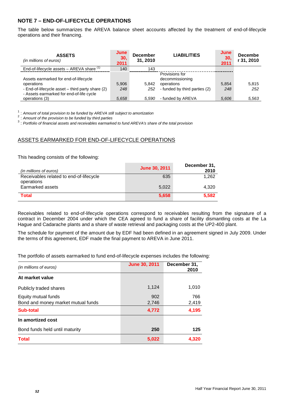### **NOTE 7 – END-OF-LIFECYCLE OPERATIONS**

The table below summarizes the AREVA balance sheet accounts affected by the treatment of end-of-lifecycle operations and their financing.

| <b>ASSETS</b><br>(in millions of euros)          | June<br>30,<br>2011 | <b>December</b><br>31, 2010 | <b>LIABILITIES</b>            | June<br>30,<br>2011 | <b>Decembe</b><br>r 31, 2010 |
|--------------------------------------------------|---------------------|-----------------------------|-------------------------------|---------------------|------------------------------|
| End-of-lifecycle assets $-$ AREVA share $(1)$    | 140                 | 143                         |                               |                     |                              |
|                                                  |                     |                             | Provisions for                |                     |                              |
| Assets earmarked for end-of-lifecycle            |                     |                             | decommissioning               |                     |                              |
| operations                                       | 5.906               | 5.842                       | operations                    | 5,854               | 5,815                        |
| - End-of-lifecycle asset – third party share (2) | 248                 | 252                         | - funded by third parties (2) | 248                 | 252                          |
| - Assets earmarked for end-of-life cycle         |                     |                             |                               |                     |                              |
| operations (3)                                   | 5.658               | 5.590                       | - funded by AREVA             | 5,606               | 5,563                        |

 $1$  : Amount of total provision to be funded by AREVA still subject to amortization

 $2^2$ : Amount of the provision to be funded by third parties

 $3$  : Portfolio of financial assets and receivables earmarked to fund AREVA's share of the total provision

### ASSETS EARMARKED FOR END-OF-LIFECYCLE OPERATIONS

This heading consists of the following:

| (in millions of euros)                                | June 30, 2011 | December 31,<br>2010 |
|-------------------------------------------------------|---------------|----------------------|
| Receivables related to end-of-lifecycle<br>operations | 635           | 1.262                |
| Earmarked assets                                      | 5,022         | 4,320                |
| <b>Total</b>                                          | 5,658         | 5,582                |

Receivables related to end-of-lifecycle operations correspond to receivables resulting from the signature of a contract in December 2004 under which the CEA agreed to fund a share of facility dismantling costs at the La Hague and Cadarache plants and a share of waste retrieval and packaging costs at the UP2-400 plant.

The schedule for payment of the amount due by EDF had been defined in an agreement signed in July 2009. Under the terms of this agreement, EDF made the final payment to AREVA in June 2011.

The portfolio of assets earmarked to fund end-of-lifecycle expenses includes the following:

| (in millions of euros)             | <b>June 30, 2011</b> | December 31,<br>2010 |
|------------------------------------|----------------------|----------------------|
| At market value                    |                      |                      |
| Publicly traded shares             | 1,124                | 1,010                |
| Equity mutual funds                | 902                  | 766                  |
| Bond and money market mutual funds | 2,746                | 2,419                |
| Sub-total                          | 4,772                | 4,195                |
| In amortized cost                  |                      |                      |
| Bond funds held until maturity     | 250                  | 125                  |
| <b>Total</b>                       | 5,022                | 4.320                |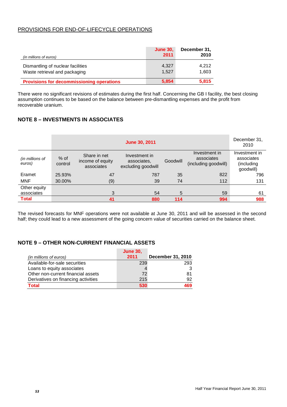## PROVISIONS FOR END-OF-LIFECYCLE OPERATIONS

| (in millions of euros)                                             | <b>June 30.</b><br>2011 | December 31,<br>2010 |
|--------------------------------------------------------------------|-------------------------|----------------------|
| Dismantling of nuclear facilities<br>Waste retrieval and packaging | 4,327<br>1.527          | 4,212<br>1,603       |
| Provisions for decommissioning operations                          | 5,854                   | 5,815                |

There were no significant revisions of estimates during the first half. Concerning the GB I facility, the best closing assumption continues to be based on the balance between pre-dismantling expenses and the profit from recoverable uranium.

# **NOTE 8 – INVESTMENTS IN ASSOCIATES**

|                            |                   |                                                | <b>June 30, 2011</b>                               |          |                                                     | December 31,<br>2010                                   |
|----------------------------|-------------------|------------------------------------------------|----------------------------------------------------|----------|-----------------------------------------------------|--------------------------------------------------------|
| (in millions of<br>euros)  | $%$ of<br>control | Share in net<br>income of equity<br>associates | Investment in<br>associates,<br>excluding goodwill | Goodwill | Investment in<br>associates<br>(including goodwill) | Investment in<br>associates<br>(including<br>goodwill) |
| Eramet                     | 25.93%            | 47                                             | 787                                                | 35       | 822                                                 | 796                                                    |
| <b>MNF</b>                 | 30.00%            | (9)                                            | 39                                                 | 74       | 112                                                 | 131                                                    |
| Other equity<br>associates |                   | 3                                              | 54                                                 | 5        | 59                                                  | 61                                                     |
| <b>Total</b>               |                   | 41                                             | 880                                                | 114      | 994                                                 | 988                                                    |

The revised forecasts for MNF operations were not available at June 30, 2011 and will be assessed in the second half; they could lead to a new assessment of the going concern value of securities carried on the balance sheet.

## **NOTE 9 – OTHER NON-CURRENT FINANCIAL ASSETS**

|                                     | <b>June 30,</b> |                   |
|-------------------------------------|-----------------|-------------------|
| (in millions of euros)              | 2011            | December 31, 2010 |
| Available-for-sale securities       | 239             | 293               |
| Loans to equity associates          |                 | 3                 |
| Other non-current financial assets  | 72              | 81                |
| Derivatives on financing activities | 215             | 92                |
| <b>Total</b>                        | 530             | 469               |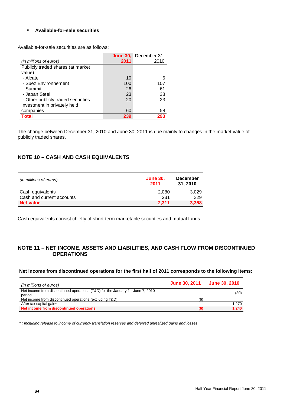### • **Available-for-sale securities**

Available-for-sale securities are as follows:

|                                    |      | June 30, December 31, |
|------------------------------------|------|-----------------------|
| (in millions of euros)             | 2011 | 2010                  |
| Publicly traded shares (at market  |      |                       |
| value)                             |      |                       |
| - Alcatel                          | 10   | 6                     |
| - Suez Environnement               | 100  | 107                   |
| - Summit                           | 26   | 61                    |
| - Japan Steel                      | 23   | 38                    |
| - Other publicly traded securities | 20   | 23                    |
| Investment in privately held       |      |                       |
| companies                          | 60   | 58                    |
| Total                              | 239  | 293                   |

The change between December 31, 2010 and June 30, 2011 is due mainly to changes in the market value of publicly traded shares.

## **NOTE 10 – CASH AND CASH EQUIVALENTS**

| (in millions of euros)    | <b>June 30.</b><br>2011 | <b>December</b><br>31.2010 |
|---------------------------|-------------------------|----------------------------|
| Cash equivalents          | 2,080                   | 3.029                      |
| Cash and current accounts | 231                     | 329                        |
| Net value                 | 2,311                   | 3,358                      |

Cash equivalents consist chiefly of short-term marketable securities and mutual funds.

### **NOTE 11 – NET INCOME, ASSETS AND LIABILITIES, AND CASH FLOW FROM DISCONTINUED OPERATIONS**

### **Net income from discontinued operations for the first half of 2011 corresponds to the following items:**

| (in millions of euros)                                                                   | <b>June 30, 2011</b> | <b>June 30, 2010</b> |
|------------------------------------------------------------------------------------------|----------------------|----------------------|
| Net income from discontinued operations (T&D) for the January 1 - June 7, 2010<br>period |                      | (30)                 |
| Net income from discontinued operations (excluding T&D)                                  | (6)                  |                      |
| After tax capital gain*                                                                  |                      | 1,270                |
| Net income from discontinued operations                                                  | (6)                  | 1,240                |

\* : Including release to income of currency translation reserves and deferred unrealized gains and losses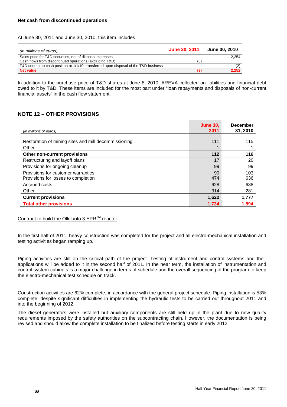At June 30, 2011 and June 30, 2010, this item includes:

| (in millions of euros)                                                                 | <b>June 30, 2011</b> | <b>June 30, 2010</b> |
|----------------------------------------------------------------------------------------|----------------------|----------------------|
| Sales price for T&D securities, net of disposal expenses                               |                      | 2.254                |
| Cash flows from discontinued operations (excluding T&D)                                | (3)                  |                      |
| T&D contrib. to cash position at 1/1/10, transferred upon disposal of the T&D business |                      | (2)                  |
| Net value                                                                              | (3)                  | 2,252                |

In addition to the purchase price of T&D shares at June 8, 2010, AREVA collected on liabilities and financial debt owed to it by T&D. These items are included for the most part under "loan repayments and disposals of non-current financial assets" in the cash flow statement.

## **NOTE 12 – OTHER PROVISIONS**

| (in millions of euros)                               | <b>June 30,</b><br>2011 | <b>December</b><br>31, 2010 |
|------------------------------------------------------|-------------------------|-----------------------------|
| Restoration of mining sites and mill decommissioning | 111                     | 115                         |
| Other                                                |                         |                             |
| Other non-current provisions                         | 112                     | 116                         |
| Restructuring and layoff plans                       | 17                      | 20                          |
| Provisions for ongoing cleanup                       | 99                      | 99                          |
| Provisions for customer warranties                   | 90                      | 103                         |
| Provisions for losses to completion                  | 474                     | 636                         |
| Accrued costs                                        | 628                     | 638                         |
| Other                                                | 314                     | 281                         |
| <b>Current provisions</b>                            | 1,622                   | 1,777                       |
| <b>Total other provisions</b>                        | 1,734                   | 1,894                       |

## Contract to build the Olkiluoto 3 EPR™ reactor

In the first half of 2011, heavy construction was completed for the project and all electro-mechanical installation and testing activities began ramping up.

Piping activities are still on the critical path of the project. Testing of instrument and control systems and their applications will be added to it in the second half of 2011. In the near term, the installation of instrumentation and control system cabinets is a major challenge in terms of schedule and the overall sequencing of the program to keep the electro-mechanical test schedule on track.

Construction activities are 62% complete, in accordance with the general project schedule. Piping installation is 53% complete, despite significant difficulties in implementing the hydraulic tests to be carried out throughout 2011 and into the beginning of 2012.

The diesel generators were installed but auxiliary components are still held up in the plant due to new quality requirements imposed by the safety authorities on the subcontracting chain. However, the documentation is being revised and should allow the complete installation to be finalized before testing starts in early 2012.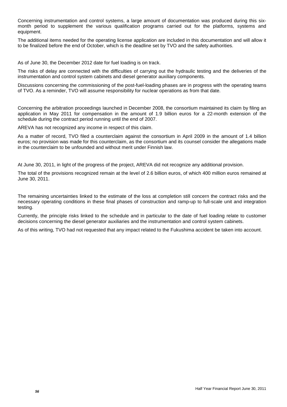Concerning instrumentation and control systems, a large amount of documentation was produced during this sixmonth period to supplement the various qualification programs carried out for the platforms, systems and equipment.

The additional items needed for the operating license application are included in this documentation and will allow it to be finalized before the end of October, which is the deadline set by TVO and the safety authorities.

As of June 30, the December 2012 date for fuel loading is on track.

The risks of delay are connected with the difficulties of carrying out the hydraulic testing and the deliveries of the instrumentation and control system cabinets and diesel generator auxiliary components.

Discussions concerning the commissioning of the post-fuel-loading phases are in progress with the operating teams of TVO. As a reminder, TVO will assume responsibility for nuclear operations as from that date.

Concerning the arbitration proceedings launched in December 2008, the consortium maintained its claim by filing an application in May 2011 for compensation in the amount of 1.9 billion euros for a 22-month extension of the schedule during the contract period running until the end of 2007.

AREVA has not recognized any income in respect of this claim.

As a matter of record, TVO filed a counterclaim against the consortium in April 2009 in the amount of 1.4 billion euros; no provision was made for this counterclaim, as the consortium and its counsel consider the allegations made in the counterclaim to be unfounded and without merit under Finnish law.

At June 30, 2011, in light of the progress of the project, AREVA did not recognize any additional provision.

The total of the provisions recognized remain at the level of 2.6 billion euros, of which 400 million euros remained at June 30, 2011.

The remaining uncertainties linked to the estimate of the loss at completion still concern the contract risks and the necessary operating conditions in these final phases of construction and ramp-up to full-scale unit and integration testing.

Currently, the principle risks linked to the schedule and in particular to the date of fuel loading relate to customer decisions concerning the diesel generator auxiliaries and the instrumentation and control system cabinets.

As of this writing, TVO had not requested that any impact related to the Fukushima accident be taken into account.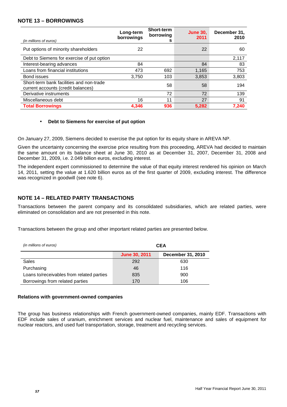### **NOTE 13 – BORROWINGS**

|                                                                                | Long-term<br>borrowings | Short-term<br>borrowing | <b>June 30.</b><br>2011 | December 31,<br>2010 |
|--------------------------------------------------------------------------------|-------------------------|-------------------------|-------------------------|----------------------|
| (in millions of euros)                                                         |                         | s                       |                         |                      |
| Put options of minority shareholders                                           | 22                      |                         | 22                      | 60                   |
| Debt to Siemens for exercise of put option                                     |                         |                         |                         | 2,117                |
| Interest-bearing advances                                                      | 84                      |                         | 84                      | 83                   |
| Loans from financial institutions                                              | 473                     | 692                     | 1,165                   | 753                  |
| Bond issues                                                                    | 3,750                   | 103                     | 3,853                   | 3,803                |
| Short-term bank facilities and non-trade<br>current accounts (credit balances) |                         | 58                      | 58                      | 194                  |
| Derivative instruments                                                         |                         | 72                      | 72                      | 139                  |
| Miscellaneous debt                                                             | 16                      | 11                      | 27                      | 91                   |
| <b>Total Borrowings</b>                                                        | 4,346                   | 936                     | 5,282                   | 7,240                |

### • **Debt to Siemens for exercise of put option**

On January 27, 2009, Siemens decided to exercise the put option for its equity share in AREVA NP.

Given the uncertainty concerning the exercise price resulting from this proceeding, AREVA had decided to maintain the same amount on its balance sheet at June 30, 2010 as at December 31, 2007, December 31, 2008 and December 31, 2009, i.e. 2.049 billion euros, excluding interest.

The independent expert commissioned to determine the value of that equity interest rendered his opinion on March 14, 2011, setting the value at 1.620 billion euros as of the first quarter of 2009, excluding interest. The difference was recognized in goodwill (see note 6).

### **NOTE 14 – RELATED PARTY TRANSACTIONS**

Transactions between the parent company and its consolidated subsidiaries, which are related parties, were eliminated on consolidation and are not presented in this note.

Transactions between the group and other important related parties are presented below.

| (in millions of euros)                    | <b>CEA</b>           |                   |
|-------------------------------------------|----------------------|-------------------|
|                                           | <b>June 30, 2011</b> | December 31, 2010 |
| Sales                                     | 292                  | 630               |
| Purchasing                                | 46                   | 116               |
| Loans to/receivables from related parties | 835                  | 900               |
| Borrowings from related parties           | 170                  | 106               |

### **Relations with government-owned companies**

The group has business relationships with French government-owned companies, mainly EDF. Transactions with EDF include sales of uranium, enrichment services and nuclear fuel, maintenance and sales of equipment for nuclear reactors, and used fuel transportation, storage, treatment and recycling services.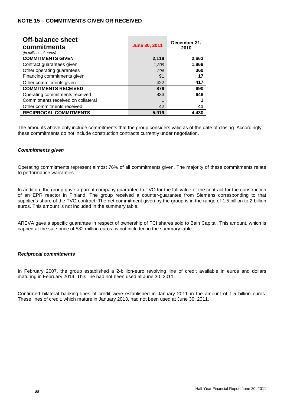### **NOTE 15 – COMMITMENTS GIVEN OR RECEIVED**

| <b>Off-balance sheet</b><br>commitments<br>(in millions of euros) | <b>June 30, 2011</b> | December 31,<br>2010 |
|-------------------------------------------------------------------|----------------------|----------------------|
| <b>COMMITMENTS GIVEN</b>                                          | 2,118                | 2,663                |
| Contract guarantees given                                         | 1,309                | 1,869                |
| Other operating guarantees                                        | 296                  | 360                  |
| Financing commitments given                                       | 91                   | 17                   |
| Other commitments given                                           | 422                  | 417                  |
| <b>COMMITMENTS RECEIVED</b>                                       | 876                  | 690                  |
| Operating commitments received                                    | 833                  | 648                  |
| Commitments received on collateral                                |                      |                      |
| Other commitments received                                        | 42                   | 41                   |
| <b>RECIPROCAL COMMITMENTS</b>                                     | 5.919                | 4.430                |

The amounts above only include commitments that the group considers valid as of the date of closing. Accordingly, these commitments do not include construction contracts currently under negotiation.

### **Commitments given**

Operating commitments represent almost 76% of all commitments given. The majority of these commitments relate to performance warranties.

In addition, the group gave a parent company guarantee to TVO for the full value of the contract for the construction of an EPR reactor in Finland. The group received a counter-guarantee from Siemens corresponding to that supplier's share of the TVO contract. The net commitment given by the group is in the range of 1.5 billion to 2 billion euros. This amount is not included in the summary table.

AREVA gave a specific guarantee in respect of ownership of FCI shares sold to Bain Capital. This amount, which is capped at the sale price of 582 million euros, is not included in the summary table.

### **Reciprocal commitments**

In February 2007, the group established a 2-billion-euro revolving line of credit available in euros and dollars maturing in February 2014. This line had not been used at June 30, 2011.

Confirmed bilateral banking lines of credit were established in January 2011 in the amount of 1.5 billion euros. These lines of credit, which mature in January 2013, had not been used at June 30, 2011.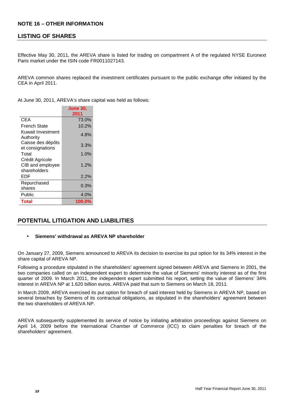# **LISTING OF SHARES**

Effective May 30, 2011, the AREVA share is listed for trading on compartment A of the regulated NYSE Euronext Paris market under the ISIN code FR0011027143.

AREVA common shares replaced the investment certificates pursuant to the public exchange offer initiated by the CEA in April 2011.

At June 30, 2011, AREVA's share capital was held as follows:

|                                                     | <b>June 30,</b> |
|-----------------------------------------------------|-----------------|
|                                                     | 2011            |
| <b>CEA</b>                                          | 73.0%           |
| French State                                        | 10.2%           |
| Kuwait Investment<br>Authority                      | 4.8%            |
| Caisse des dépôts<br>et consignations               | 3.3%            |
| Total                                               | 1.0%            |
| Crédit Agricole<br>CIB and employee<br>shareholders | 1.2%            |
| EDF                                                 | 2.2%            |
| Repurchased<br>shares                               | 0.3%            |
| Public                                              | 4.0%            |
| Total                                               | 100.0%          |

## **POTENTIAL LITIGATION AND LIABILITIES**

### • **Siemens' withdrawal as AREVA NP shareholder**

On January 27, 2009, Siemens announced to AREVA its decision to exercise its put option for its 34% interest in the share capital of AREVA NP.

Following a procedure stipulated in the shareholders' agreement signed between AREVA and Siemens in 2001, the two companies called on an independent expert to determine the value of Siemens' minority interest as of the first quarter of 2009. In March 2011, the independent expert submitted his report, setting the value of Siemens' 34% interest in AREVA NP at 1.620 billion euros. AREVA paid that sum to Siemens on March 18, 2011.

In March 2009, AREVA exercised its put option for breach of said interest held by Siemens in AREVA NP, based on several breaches by Siemens of its contractual obligations, as stipulated in the shareholders' agreement between the two shareholders of AREVA NP.

AREVA subsequently supplemented its service of notice by initiating arbitration proceedings against Siemens on April 14, 2009 before the International Chamber of Commerce (ICC) to claim penalties for breach of the shareholders' agreement.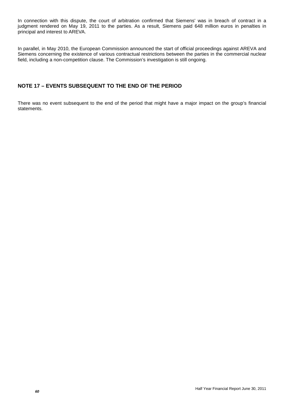In connection with this dispute, the court of arbitration confirmed that Siemens' was in breach of contract in a judgment rendered on May 19, 2011 to the parties. As a result, Siemens paid 648 million euros in penalties in principal and interest to AREVA.

In parallel, in May 2010, the European Commission announced the start of official proceedings against AREVA and Siemens concerning the existence of various contractual restrictions between the parties in the commercial nuclear field, including a non-competition clause. The Commission's investigation is still ongoing.

## **NOTE 17 – EVENTS SUBSEQUENT TO THE END OF THE PERIOD**

There was no event subsequent to the end of the period that might have a major impact on the group's financial statements.